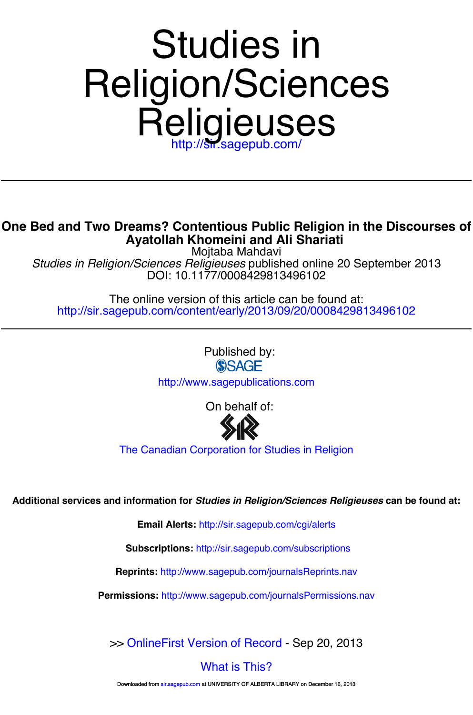# Religieuses Religion/Sciences [Studies in](http://www.sagepublications.com)

# **Ayatollah Khomeini and Ali Shariati One Bed and Two Dreams? Contentious Public Religion in the Discourses of**

DOI: 10.1177/0008429813496102 *Studies in Religion/Sciences Religieuses* published online 20 September 2013 Mojtaba Mahdavi

<http://sir.sagepub.com/content/early/2013/09/20/0008429813496102> The online version of this article can be found at:

> Published by:<br>
> SAGF <http://www.sagepublications.com>

> > [On behalf of:](http://www.sagepub.com/journalsReprints.nav)

[The Canadian Corporation for Studies in Religion](http://www.ccsr.ca/)

**Additional services and information for** *Studies in Religion/Sciences Religieuses* **can be found at:**

**Email Alerts:** <http://sir.sagepub.com/cgi/alerts>

**Subscriptions:** <http://sir.sagepub.com/subscriptions>

**Reprints:** <http://www.sagepub.com/journalsReprints.nav>

**Permissions:** <http://www.sagepub.com/journalsPermissions.nav>

>> [OnlineFirst Version of Record -](http://sir.sagepub.com/content/early/2013/09/20/0008429813496102.full.pdf) Sep 20, 2013

# [What is This?](http://online.sagepub.com/site/sphelp/vorhelp.xhtml)

Downloaded from [sir.sagepub.com](http://sir.sagepub.com/) at UNIVERSITY OF ALBERTA LIBRARY on December 16, 2013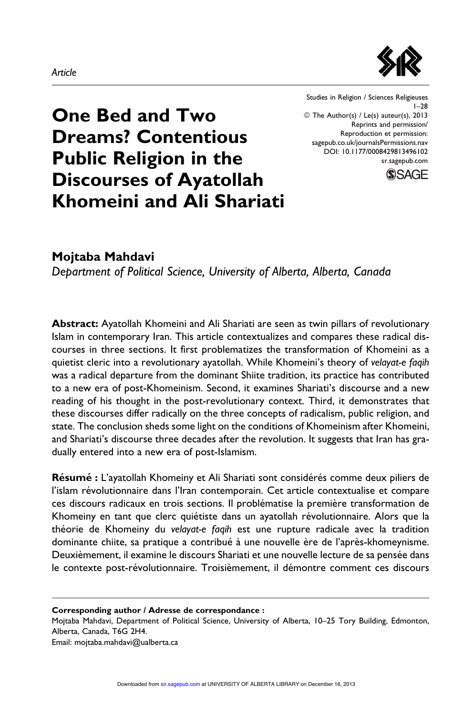#### Article



Studies in Religion / Sciences Religieuses 1–28 © The Author(s) / Le(s) auteur(s), 2013 Reprints and permission/ Reproduction et permission: [sagepub.co.uk/journalsPermissions.nav](http://www.sagepub.co.uk/journalsPermissions.nav) DOI: 10.1177/0008429813496102 [sr.sagepub.com](http://sr.sagepub.com)



# One Bed and Two Dreams? Contentious Public Religion in the Discourses of Ayatollah Khomeini and Ali Shariati

Mojtaba Mahdavi

Department of Political Science, University of Alberta, Alberta, Canada

Abstract: Ayatollah Khomeini and Ali Shariati are seen as twin pillars of revolutionary Islam in contemporary Iran. This article contextualizes and compares these radical discourses in three sections. It first problematizes the transformation of Khomeini as a quietist cleric into a revolutionary ayatollah. While Khomeini's theory of velayat-e faqih was a radical departure from the dominant Shiite tradition, its practice has contributed to a new era of post-Khomeinism. Second, it examines Shariati's discourse and a new reading of his thought in the post-revolutionary context. Third, it demonstrates that these discourses differ radically on the three concepts of radicalism, public religion, and state. The conclusion sheds some light on the conditions of Khomeinism after Khomeini, and Shariati's discourse three decades after the revolution. It suggests that Iran has gradually entered into a new era of post-Islamism.

Résumé : L'ayatollah Khomeiny et Ali Shariati sont considérés comme deux piliers de l'islam révolutionnaire dans l'Iran contemporain. Cet article contextualise et compare ces discours radicaux en trois sections. Il problématise la première transformation de Khomeiny en tant que clerc quiétiste dans un ayatollah révolutionnaire. Alors que la théorie de Khomeiny du velayat-e faqih est une rupture radicale avec la tradition dominante chiite, sa pratique a contribué à une nouvelle ère de l'après-khomeynisme. Deuxièmement, il examine le discours Shariati et une nouvelle lecture de sa pensée dans le contexte post-révolutionnaire. Troisièmement, il démontre comment ces discours

Corresponding author / Adresse de correspondance : Mojtaba Mahdavi, Department of Political Science, University of Alberta, 10–25 Tory Building, Edmonton, Alberta, Canada, T6G 2H4. Email: mojtaba.mahdavi@ualberta.ca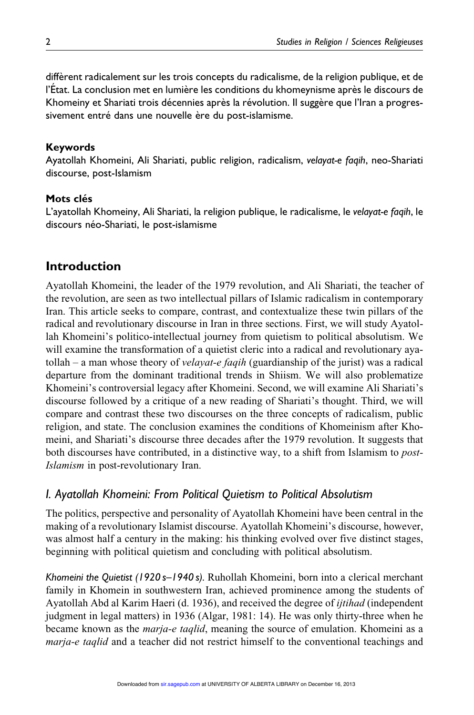diffèrent radicalement sur les trois concepts du radicalisme, de la religion publique, et de l'Etat. La conclusion met en lumière les conditions du khomeynisme après le discours de Khomeiny et Shariati trois décennies après la révolution. Il suggère que l'Iran a progressivement entré dans une nouvelle ère du post-islamisme.

# Keywords

Ayatollah Khomeini, Ali Shariati, public religion, radicalism, velayat-e faqih, neo-Shariati discourse, post-Islamism

# Mots clés

L'ayatollah Khomeiny, Ali Shariati, la religion publique, le radicalisme, le velayat-e faqih, le discours néo-Shariati, le post-islamisme

# Introduction

Ayatollah Khomeini, the leader of the 1979 revolution, and Ali Shariati, the teacher of the revolution, are seen as two intellectual pillars of Islamic radicalism in contemporary Iran. This article seeks to compare, contrast, and contextualize these twin pillars of the radical and revolutionary discourse in Iran in three sections. First, we will study Ayatollah Khomeini's politico-intellectual journey from quietism to political absolutism. We will examine the transformation of a quietist cleric into a radical and revolutionary ayatollah – a man whose theory of *velayat-e faqih* (guardianship of the jurist) was a radical departure from the dominant traditional trends in Shiism. We will also problematize Khomeini's controversial legacy after Khomeini. Second, we will examine Ali Shariati's discourse followed by a critique of a new reading of Shariati's thought. Third, we will compare and contrast these two discourses on the three concepts of radicalism, public religion, and state. The conclusion examines the conditions of Khomeinism after Khomeini, and Shariati's discourse three decades after the 1979 revolution. It suggests that both discourses have contributed, in a distinctive way, to a shift from Islamism to *post-*Islamism in post-revolutionary Iran.

# I. Ayatollah Khomeini: From Political Quietism to Political Absolutism

The politics, perspective and personality of Ayatollah Khomeini have been central in the making of a revolutionary Islamist discourse. Ayatollah Khomeini's discourse, however, was almost half a century in the making: his thinking evolved over five distinct stages, beginning with political quietism and concluding with political absolutism.

Khomeini the Quietist (1920 s–1940 s). Ruhollah Khomeini, born into a clerical merchant family in Khomein in southwestern Iran, achieved prominence among the students of Ayatollah Abd al Karim Haeri (d. 1936), and received the degree of *ijtihad* (independent judgment in legal matters) in 1936 (Algar, 1981: 14). He was only thirty-three when he became known as the *marja-e taglid*, meaning the source of emulation. Khomeini as a marja-e taqlid and a teacher did not restric[t himself t](http://sir.sagepub.com/)o the conventional teachings and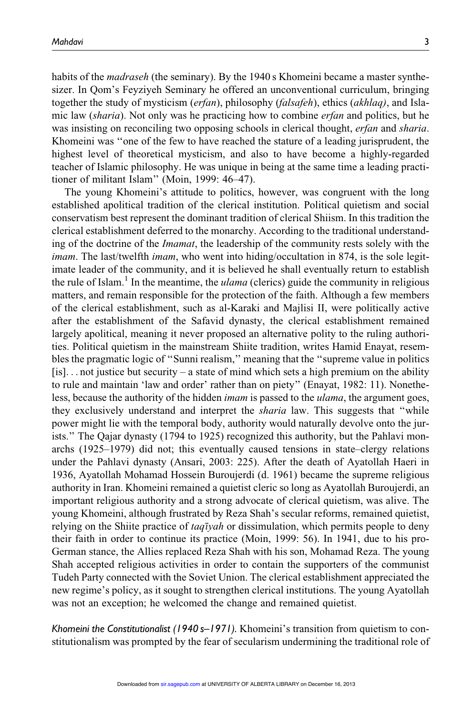habits of the *madraseh* (the seminary). By the 1940 s Khomeini became a master synthesizer. In Qom's Feyziyeh Seminary he offered an unconventional curriculum, bringing together the study of mysticism (erfan), philosophy (falsafeh), ethics (akhlaq), and Islamic law *(sharia)*. Not only was he practicing how to combine *erfan* and politics, but he was insisting on reconciling two opposing schools in clerical thought, *erfan* and *sharia*. Khomeini was ''one of the few to have reached the stature of a leading jurisprudent, the highest level of theoretical mysticism, and also to have become a highly-regarded teacher of Islamic philosophy. He was unique in being at the same time a leading practitioner of militant Islam'' (Moin, 1999: 46–47).

The young Khomeini's attitude to politics, however, was congruent with the long established apolitical tradition of the clerical institution. Political quietism and social conservatism best represent the dominant tradition of clerical Shiism. In this tradition the clerical establishment deferred to the monarchy. According to the traditional understanding of the doctrine of the *Imamat*, the leadership of the community rests solely with the imam. The last/twelfth *imam*, who went into hiding/occultation in 874, is the sole legitimate leader of the community, and it is believed he shall eventually return to establish the rule of Islam.<sup>1</sup> In the meantime, the *ulama* (clerics) guide the community in religious matters, and remain responsible for the protection of the faith. Although a few members of the clerical establishment, such as al-Karaki and Majlisi II, were politically active after the establishment of the Safavid dynasty, the clerical establishment remained largely apolitical, meaning it never proposed an alternative polity to the ruling authorities. Political quietism in the mainstream Shiite tradition, writes Hamid Enayat, resembles the pragmatic logic of ''Sunni realism,'' meaning that the ''supreme value in politics  $[i]$ ... not justice but security – a state of mind which sets a high premium on the ability to rule and maintain 'law and order' rather than on piety'' (Enayat, 1982: 11). Nonetheless, because the authority of the hidden *imam* is passed to the *ulama*, the argument goes, they exclusively understand and interpret the *sharia* law. This suggests that "while power might lie with the temporal body, authority would naturally devolve onto the jurists.'' The Qajar dynasty (1794 to 1925) recognized this authority, but the Pahlavi monarchs (1925–1979) did not; this eventually caused tensions in state–clergy relations under the Pahlavi dynasty (Ansari, 2003: 225). After the death of Ayatollah Haeri in 1936, Ayatollah Mohamad Hossein Buroujerdi (d. 1961) became the supreme religious authority in Iran. Khomeini remained a quietist cleric so long as Ayatollah Buroujerdi, an important religious authority and a strong advocate of clerical quietism, was alive. The young Khomeini, although frustrated by Reza Shah's secular reforms, remained quietist, relying on the Shiite practice of  $taq\bar{v}yah$  or dissimulation, which permits people to deny their faith in order to continue its practice (Moin, 1999: 56). In 1941, due to his pro-German stance, the Allies replaced Reza Shah with his son, Mohamad Reza. The young Shah accepted religious activities in order to contain the supporters of the communist Tudeh Party connected with the Soviet Union. The clerical establishment appreciated the new regime's policy, as it sought to strengthen clerical institutions. The young Ayatollah was not an exception; he welcomed the change and remained quietist.

Khomeini the Constitutionalist (1940 s–1971). Khomeini's transition from quietism to constitutionalism was prompted by the fear of [secularism](http://sir.sagepub.com/) undermining the traditional role of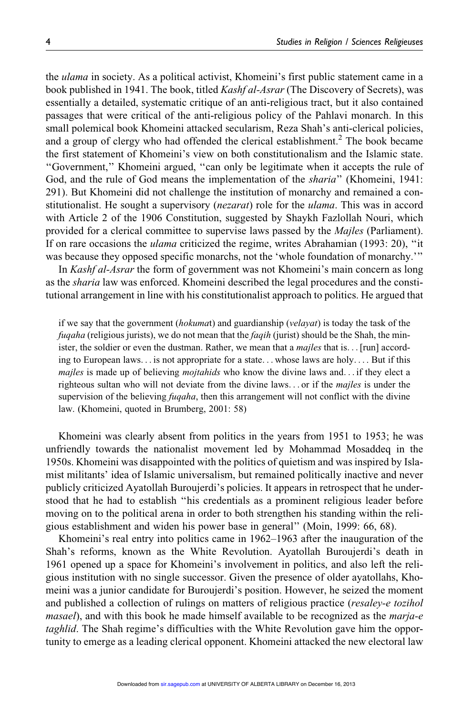the *ulama* in society. As a political activist, Khomeini's first public statement came in a book published in 1941. The book, titled *Kashf al-Asrar* (The Discovery of Secrets), was essentially a detailed, systematic critique of an anti-religious tract, but it also contained passages that were critical of the anti-religious policy of the Pahlavi monarch. In this small polemical book Khomeini attacked secularism, Reza Shah's anti-clerical policies, and a group of clergy who had offended the clerical establishment.<sup>2</sup> The book became the first statement of Khomeini's view on both constitutionalism and the Islamic state. ''Government,'' Khomeini argued, ''can only be legitimate when it accepts the rule of God, and the rule of God means the implementation of the *sharia*" (Khomeini, 1941: 291). But Khomeini did not challenge the institution of monarchy and remained a constitutionalist. He sought a supervisory *(nezarat)* role for the *ulama*. This was in accord with Article 2 of the 1906 Constitution, suggested by Shaykh Fazlollah Nouri, which provided for a clerical committee to supervise laws passed by the Majles (Parliament). If on rare occasions the *ulama* criticized the regime, writes Abrahamian (1993: 20), "it was because they opposed specific monarchs, not the 'whole foundation of monarchy.'''

In *Kashf al-Asrar* the form of government was not Khomeini's main concern as long as the *sharia* law was enforced. Khomeini described the legal procedures and the constitutional arrangement in line with his constitutionalist approach to politics. He argued that

if we say that the government (hokumat) and guardianship (velayat) is today the task of the *fugaha* (religious jurists), we do not mean that the *faqih* (jurist) should be the Shah, the minister, the soldier or even the dustman. Rather, we mean that a *majles* that is... [run] according to European laws... is not appropriate for a state... whose laws are holy... . But if this *majles* is made up of believing *mojtahids* who know the divine laws and... if they elect a righteous sultan who will not deviate from the divine laws... or if the *majles* is under the supervision of the believing *fugaha*, then this arrangement will not conflict with the divine law. (Khomeini, quoted in Brumberg, 2001: 58)

Khomeini was clearly absent from politics in the years from 1951 to 1953; he was unfriendly towards the nationalist movement led by Mohammad Mosaddeq in the 1950s. Khomeini was disappointed with the politics of quietism and was inspired by Islamist militants' idea of Islamic universalism, but remained politically inactive and never publicly criticized Ayatollah Buroujerdi's policies. It appears in retrospect that he understood that he had to establish ''his credentials as a prominent religious leader before moving on to the political arena in order to both strengthen his standing within the religious establishment and widen his power base in general'' (Moin, 1999: 66, 68).

Khomeini's real entry into politics came in 1962–1963 after the inauguration of the Shah's reforms, known as the White Revolution. Ayatollah Buroujerdi's death in 1961 opened up a space for Khomeini's involvement in politics, and also left the religious institution with no single successor. Given the presence of older ayatollahs, Khomeini was a junior candidate for Buroujerdi's position. However, he seized the moment and published a collection of rulings on matters of religious practice (*resaley-e tozihol* masael), and with this book he made himself available to be recognized as the *marja-e* taghlid. The Shah regime's difficulties with the White Revolution gave him the opportunity to emerge as a leading clerical oppone[nt. Khome](http://sir.sagepub.com/)ini attacked the new electoral law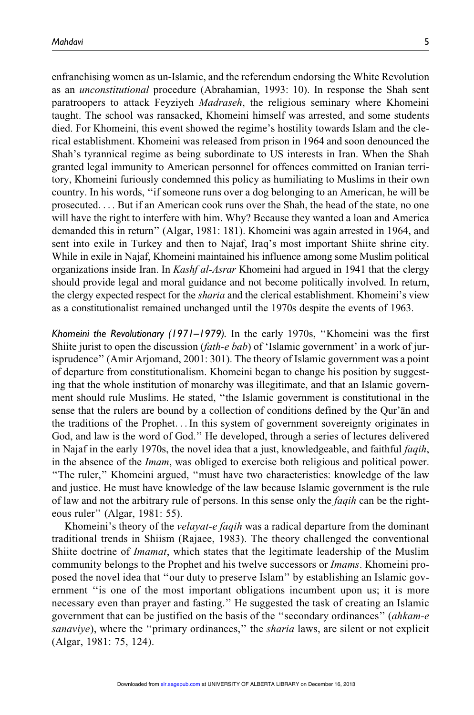enfranchising women as un-Islamic, and the referendum endorsing the White Revolution as an unconstitutional procedure (Abrahamian, 1993: 10). In response the Shah sent paratroopers to attack Feyziyeh Madraseh, the religious seminary where Khomeini taught. The school was ransacked, Khomeini himself was arrested, and some students died. For Khomeini, this event showed the regime's hostility towards Islam and the clerical establishment. Khomeini was released from prison in 1964 and soon denounced the Shah's tyrannical regime as being subordinate to US interests in Iran. When the Shah granted legal immunity to American personnel for offences committed on Iranian territory, Khomeini furiously condemned this policy as humiliating to Muslims in their own country. In his words, ''if someone runs over a dog belonging to an American, he will be prosecuted... . But if an American cook runs over the Shah, the head of the state, no one will have the right to interfere with him. Why? Because they wanted a loan and America demanded this in return'' (Algar, 1981: 181). Khomeini was again arrested in 1964, and sent into exile in Turkey and then to Najaf, Iraq's most important Shiite shrine city. While in exile in Najaf, Khomeini maintained his influence among some Muslim political organizations inside Iran. In Kashf al-Asrar Khomeini had argued in 1941 that the clergy should provide legal and moral guidance and not become politically involved. In return, the clergy expected respect for the *sharia* and the clerical establishment. Khomeini's view as a constitutionalist remained unchanged until the 1970s despite the events of 1963.

Khomeini the Revolutionary (1971–1979). In the early 1970s, ''Khomeini was the first Shiite jurist to open the discussion (*fath-e bab*) of 'Islamic government' in a work of jurisprudence'' (Amir Arjomand, 2001: 301). The theory of Islamic government was a point of departure from constitutionalism. Khomeini began to change his position by suggesting that the whole institution of monarchy was illegitimate, and that an Islamic government should rule Muslims. He stated, ''the Islamic government is constitutional in the sense that the rulers are bound by a collection of conditions defined by the Our'an and the traditions of the Prophet... In this system of government sovereignty originates in God, and law is the word of God.'' He developed, through a series of lectures delivered in Najaf in the early 1970s, the novel idea that a just, knowledgeable, and faithful *faqih*, in the absence of the Imam, was obliged to exercise both religious and political power. ''The ruler,'' Khomeini argued, ''must have two characteristics: knowledge of the law and justice. He must have knowledge of the law because Islamic government is the rule of law and not the arbitrary rule of persons. In this sense only the *faqih* can be the righteous ruler'' (Algar, 1981: 55).

Khomeini's theory of the *velayat-e faqih* was a radical departure from the dominant traditional trends in Shiism (Rajaee, 1983). The theory challenged the conventional Shiite doctrine of Imamat, which states that the legitimate leadership of the Muslim community belongs to the Prophet and his twelve successors or *Imams*. Khomeini proposed the novel idea that ''our duty to preserve Islam'' by establishing an Islamic government ''is one of the most important obligations incumbent upon us; it is more necessary even than prayer and fasting.'' He suggested the task of creating an Islamic government that can be justified on the basis of the ''secondary ordinances'' (ahkam-e sanaviye), where the "primary ordinances," the *sharia* laws, are silent or not explicit (Algar, 1981: 75, 124).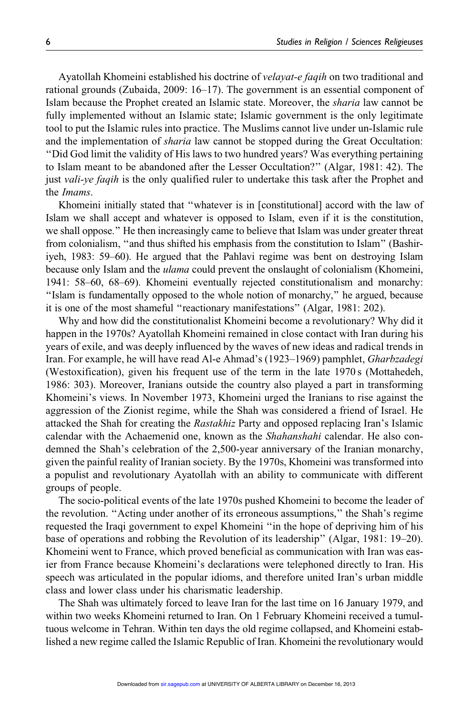Ayatollah Khomeini established his doctrine of velayat-e faqih on two traditional and rational grounds (Zubaida, 2009: 16–17). The government is an essential component of Islam because the Prophet created an Islamic state. Moreover, the sharia law cannot be fully implemented without an Islamic state; Islamic government is the only legitimate tool to put the Islamic rules into practice. The Muslims cannot live under un-Islamic rule and the implementation of *sharia* law cannot be stopped during the Great Occultation: ''Did God limit the validity of His laws to two hundred years? Was everything pertaining to Islam meant to be abandoned after the Lesser Occultation?'' (Algar, 1981: 42). The just *vali-ye faqih* is the only qualified ruler to undertake this task after the Prophet and the Imams.

Khomeini initially stated that ''whatever is in [constitutional] accord with the law of Islam we shall accept and whatever is opposed to Islam, even if it is the constitution, we shall oppose.'' He then increasingly came to believe that Islam was under greater threat from colonialism, ''and thus shifted his emphasis from the constitution to Islam'' (Bashiriyeh, 1983: 59–60). He argued that the Pahlavi regime was bent on destroying Islam because only Islam and the *ulama* could prevent the onslaught of colonialism (Khomeini, 1941: 58–60, 68–69). Khomeini eventually rejected constitutionalism and monarchy: ''Islam is fundamentally opposed to the whole notion of monarchy,'' he argued, because it is one of the most shameful ''reactionary manifestations'' (Algar, 1981: 202).

Why and how did the constitutionalist Khomeini become a revolutionary? Why did it happen in the 1970s? Ayatollah Khomeini remained in close contact with Iran during his years of exile, and was deeply influenced by the waves of new ideas and radical trends in Iran. For example, he will have read Al-e Ahmad's (1923–1969) pamphlet, Gharbzadegi (Westoxification), given his frequent use of the term in the late 1970 s (Mottahedeh, 1986: 303). Moreover, Iranians outside the country also played a part in transforming Khomeini's views. In November 1973, Khomeini urged the Iranians to rise against the aggression of the Zionist regime, while the Shah was considered a friend of Israel. He attacked the Shah for creating the Rastakhiz Party and opposed replacing Iran's Islamic calendar with the Achaemenid one, known as the Shahanshahi calendar. He also condemned the Shah's celebration of the 2,500-year anniversary of the Iranian monarchy, given the painful reality of Iranian society. By the 1970s, Khomeini was transformed into a populist and revolutionary Ayatollah with an ability to communicate with different groups of people.

The socio-political events of the late 1970s pushed Khomeini to become the leader of the revolution. ''Acting under another of its erroneous assumptions,'' the Shah's regime requested the Iraqi government to expel Khomeini ''in the hope of depriving him of his base of operations and robbing the Revolution of its leadership'' (Algar, 1981: 19–20). Khomeini went to France, which proved beneficial as communication with Iran was easier from France because Khomeini's declarations were telephoned directly to Iran. His speech was articulated in the popular idioms, and therefore united Iran's urban middle class and lower class under his charismatic leadership.

The Shah was ultimately forced to leave Iran for the last time on 16 January 1979, and within two weeks Khomeini returned to Iran. On 1 February Khomeini received a tumultuous welcome in Tehran. Within ten days the old regime collapsed, and Khomeini established a new regime called the Islamic Repub[lic of Iran. K](http://sir.sagepub.com/)homeini the revolutionary would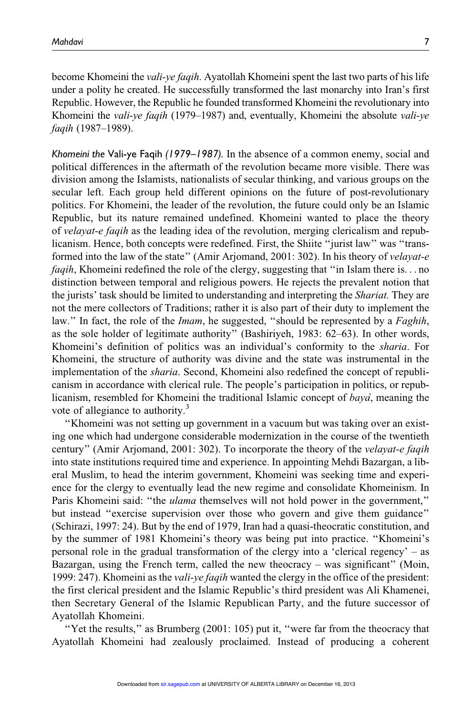become Khomeini the vali-ye faqih. Ayatollah Khomeini spent the last two parts of his life under a polity he created. He successfully transformed the last monarchy into Iran's first Republic. However, the Republic he founded transformed Khomeini the revolutionary into Khomeini the *vali-ye faqih* (1979–1987) and, eventually, Khomeini the absolute *vali-ye* faqih (1987–1989).

Khomeini the Vali-ye Faqih (1979–1987). In the absence of a common enemy, social and political differences in the aftermath of the revolution became more visible. There was division among the Islamists, nationalists of secular thinking, and various groups on the secular left. Each group held different opinions on the future of post-revolutionary politics. For Khomeini, the leader of the revolution, the future could only be an Islamic Republic, but its nature remained undefined. Khomeini wanted to place the theory of velayat-e faqih as the leading idea of the revolution, merging clericalism and republicanism. Hence, both concepts were redefined. First, the Shiite ''jurist law'' was ''transformed into the law of the state'' (Amir Arjomand, 2001: 302). In his theory of velayat-e faqih, Khomeini redefined the role of the clergy, suggesting that "in Islam there is... no distinction between temporal and religious powers. He rejects the prevalent notion that the jurists' task should be limited to understanding and interpreting the Shariat. They are not the mere collectors of Traditions; rather it is also part of their duty to implement the law." In fact, the role of the Imam, he suggested, "should be represented by a Faghih, as the sole holder of legitimate authority'' (Bashiriyeh, 1983: 62–63). In other words, Khomeini's definition of politics was an individual's conformity to the sharia. For Khomeini, the structure of authority was divine and the state was instrumental in the implementation of the *sharia*. Second, Khomeini also redefined the concept of republicanism in accordance with clerical rule. The people's participation in politics, or republicanism, resembled for Khomeini the traditional Islamic concept of  $b \alpha y \dot{a}$ , meaning the vote of allegiance to authority. $3$ 

''Khomeini was not setting up government in a vacuum but was taking over an existing one which had undergone considerable modernization in the course of the twentieth century'' (Amir Arjomand, 2001: 302). To incorporate the theory of the velayat-e faqih into state institutions required time and experience. In appointing Mehdi Bazargan, a liberal Muslim, to head the interim government, Khomeini was seeking time and experience for the clergy to eventually lead the new regime and consolidate Khomeinism. In Paris Khomeini said: "the *ulama* themselves will not hold power in the government," but instead ''exercise supervision over those who govern and give them guidance'' (Schirazi, 1997: 24). But by the end of 1979, Iran had a quasi-theocratic constitution, and by the summer of 1981 Khomeini's theory was being put into practice. ''Khomeini's personal role in the gradual transformation of the clergy into a 'clerical regency' – as Bazargan, using the French term, called the new theocracy – was significant'' (Moin, 1999: 247). Khomeini as the *vali-ve faqih* wanted the clergy in the office of the president: the first clerical president and the Islamic Republic's third president was Ali Khamenei, then Secretary General of the Islamic Republican Party, and the future successor of Ayatollah Khomeini.

"Yet the results," as Brumberg (2001: 105) put it, "were far from the theocracy that Ayatollah Khomeini had zealously pro[claimed. I](http://sir.sagepub.com/)nstead of producing a coherent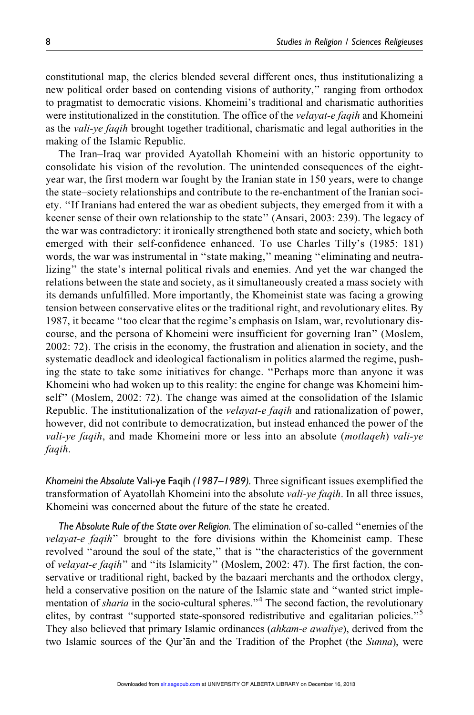constitutional map, the clerics blended several different ones, thus institutionalizing a new political order based on contending visions of authority,'' ranging from orthodox to pragmatist to democratic visions. Khomeini's traditional and charismatic authorities were institutionalized in the constitution. The office of the *velayat-e faqih* and Khomeini as the *vali-ye faqih* brought together traditional, charismatic and legal authorities in the making of the Islamic Republic.

The Iran–Iraq war provided Ayatollah Khomeini with an historic opportunity to consolidate his vision of the revolution. The unintended consequences of the eightyear war, the first modern war fought by the Iranian state in 150 years, were to change the state–society relationships and contribute to the re-enchantment of the Iranian society. ''If Iranians had entered the war as obedient subjects, they emerged from it with a keener sense of their own relationship to the state'' (Ansari, 2003: 239). The legacy of the war was contradictory: it ironically strengthened both state and society, which both emerged with their self-confidence enhanced. To use Charles Tilly's (1985: 181) words, the war was instrumental in "state making," meaning "eliminating and neutralizing'' the state's internal political rivals and enemies. And yet the war changed the relations between the state and society, as it simultaneously created a mass society with its demands unfulfilled. More importantly, the Khomeinist state was facing a growing tension between conservative elites or the traditional right, and revolutionary elites. By 1987, it became ''too clear that the regime's emphasis on Islam, war, revolutionary discourse, and the persona of Khomeini were insufficient for governing Iran'' (Moslem, 2002: 72). The crisis in the economy, the frustration and alienation in society, and the systematic deadlock and ideological factionalism in politics alarmed the regime, pushing the state to take some initiatives for change. ''Perhaps more than anyone it was Khomeini who had woken up to this reality: the engine for change was Khomeini himself'' (Moslem, 2002: 72). The change was aimed at the consolidation of the Islamic Republic. The institutionalization of the *velayat-e faqih* and rationalization of power, however, did not contribute to democratization, but instead enhanced the power of the vali-ye faqih, and made Khomeini more or less into an absolute (*motlaqeh*) vali-ye faqih.

Khomeini the Absolute Vali-ye Faqih (1987–1989). Three significant issues exemplified the transformation of Ayatollah Khomeini into the absolute *vali-ye faqih*. In all three issues, Khomeini was concerned about the future of the state he created.

The Absolute Rule of the State over Religion. The elimination of so-called ''enemies of the velayat-e faqih'' brought to the fore divisions within the Khomeinist camp. These revolved "around the soul of the state," that is "the characteristics of the government of velayat-e faqih'' and ''its Islamicity'' (Moslem, 2002: 47). The first faction, the conservative or traditional right, backed by the bazaari merchants and the orthodox clergy, held a conservative position on the nature of the Islamic state and ''wanted strict implementation of *sharia* in the socio-cultural spheres."<sup>4</sup> The second faction, the revolutionary elites, by contrast "supported state-sponsored redistributive and egalitarian policies."<sup>5</sup> They also believed that primary Islamic ordinances *(ahkam-e awaliye)*, derived from the two Islamic sources of the Qur'an and the [Tradition o](http://sir.sagepub.com/)f the Prophet (the Sunna), were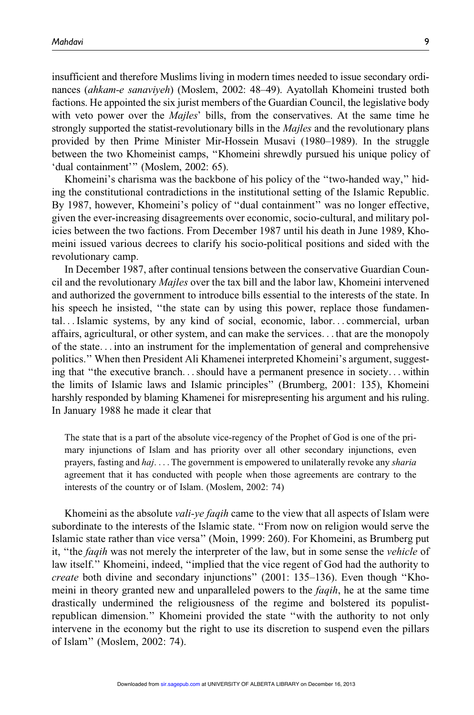insufficient and therefore Muslims living in modern times needed to issue secondary ordinances (ahkam-e sanaviyeh) (Moslem, 2002: 48–49). Ayatollah Khomeini trusted both factions. He appointed the six jurist members of the Guardian Council, the legislative body with veto power over the *Majles*' bills, from the conservatives. At the same time he strongly supported the statist-revolutionary bills in the *Majles* and the revolutionary plans provided by then Prime Minister Mir-Hossein Musavi (1980–1989). In the struggle between the two Khomeinist camps, ''Khomeini shrewdly pursued his unique policy of 'dual containment''' (Moslem, 2002: 65).

Khomeini's charisma was the backbone of his policy of the ''two-handed way,'' hiding the constitutional contradictions in the institutional setting of the Islamic Republic. By 1987, however, Khomeini's policy of ''dual containment'' was no longer effective, given the ever-increasing disagreements over economic, socio-cultural, and military policies between the two factions. From December 1987 until his death in June 1989, Khomeini issued various decrees to clarify his socio-political positions and sided with the revolutionary camp.

In December 1987, after continual tensions between the conservative Guardian Council and the revolutionary Majles over the tax bill and the labor law, Khomeini intervened and authorized the government to introduce bills essential to the interests of the state. In his speech he insisted, ''the state can by using this power, replace those fundamental... Islamic systems, by any kind of social, economic, labor... commercial, urban affairs, agricultural, or other system, and can make the services... that are the monopoly of the state... into an instrument for the implementation of general and comprehensive politics.'' When then President Ali Khamenei interpreted Khomeini's argument, suggesting that "the executive branch...should have a permanent presence in society... within the limits of Islamic laws and Islamic principles'' (Brumberg, 2001: 135), Khomeini harshly responded by blaming Khamenei for misrepresenting his argument and his ruling. In January 1988 he made it clear that

The state that is a part of the absolute vice-regency of the Prophet of God is one of the primary injunctions of Islam and has priority over all other secondary injunctions, even prayers, fasting and haj. . . . The government is empowered to unilaterally revoke any *sharia* agreement that it has conducted with people when those agreements are contrary to the interests of the country or of Islam. (Moslem, 2002: 74)

Khomeini as the absolute *vali-ye faqih* came to the view that all aspects of Islam were subordinate to the interests of the Islamic state. ''From now on religion would serve the Islamic state rather than vice versa'' (Moin, 1999: 260). For Khomeini, as Brumberg put it, "the *faqih* was not merely the interpreter of the law, but in some sense the *vehicle* of law itself." Khomeini, indeed, "implied that the vice regent of God had the authority to create both divine and secondary injunctions'' (2001: 135–136). Even though ''Khomeini in theory granted new and unparalleled powers to the *faqih*, he at the same time drastically undermined the religiousness of the regime and bolstered its populistrepublican dimension.'' Khomeini provided the state ''with the authority to not only intervene in the economy but the right to use its discretion to suspend even the pillars of Islam'' (Moslem, 2002: 74).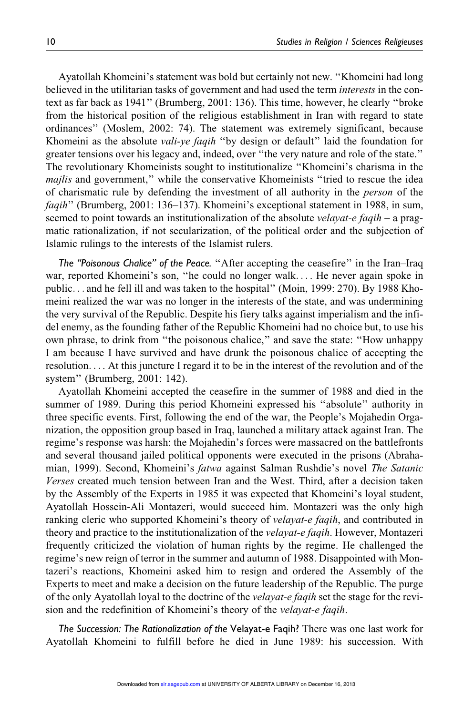Ayatollah Khomeini's statement was bold but certainly not new. ''Khomeini had long believed in the utilitarian tasks of government and had used the term *interests* in the context as far back as 1941'' (Brumberg, 2001: 136). This time, however, he clearly ''broke from the historical position of the religious establishment in Iran with regard to state ordinances'' (Moslem, 2002: 74). The statement was extremely significant, because Khomeini as the absolute *vali-ye faqih* "by design or default" laid the foundation for greater tensions over his legacy and, indeed, over ''the very nature and role of the state.'' The revolutionary Khomeinists sought to institutionalize ''Khomeini's charisma in the *majlis* and government," while the conservative Khomeinists "tried to rescue the idea of charismatic rule by defending the investment of all authority in the person of the faqih'' (Brumberg, 2001: 136–137). Khomeini's exceptional statement in 1988, in sum, seemed to point towards an institutionalization of the absolute velayat-e faqih – a pragmatic rationalization, if not secularization, of the political order and the subjection of Islamic rulings to the interests of the Islamist rulers.

The "Poisonous Chalice" of the Peace. "After accepting the ceasefire" in the Iran-Iraq war, reported Khomeini's son, ''he could no longer walk... . He never again spoke in public... and he fell ill and was taken to the hospital'' (Moin, 1999: 270). By 1988 Khomeini realized the war was no longer in the interests of the state, and was undermining the very survival of the Republic. Despite his fiery talks against imperialism and the infidel enemy, as the founding father of the Republic Khomeini had no choice but, to use his own phrase, to drink from ''the poisonous chalice,'' and save the state: ''How unhappy I am because I have survived and have drunk the poisonous chalice of accepting the resolution... . At this juncture I regard it to be in the interest of the revolution and of the system'' (Brumberg, 2001: 142).

Ayatollah Khomeini accepted the ceasefire in the summer of 1988 and died in the summer of 1989. During this period Khomeini expressed his ''absolute'' authority in three specific events. First, following the end of the war, the People's Mojahedin Organization, the opposition group based in Iraq, launched a military attack against Iran. The regime's response was harsh: the Mojahedin's forces were massacred on the battlefronts and several thousand jailed political opponents were executed in the prisons (Abrahamian, 1999). Second, Khomeini's *fatwa* against Salman Rushdie's novel *The Satanic* Verses created much tension between Iran and the West. Third, after a decision taken by the Assembly of the Experts in 1985 it was expected that Khomeini's loyal student, Ayatollah Hossein-Ali Montazeri, would succeed him. Montazeri was the only high ranking cleric who supported Khomeini's theory of *velayat-e faqih*, and contributed in theory and practice to the institutionalization of the *velayat-e faqih*. However, Montazeri frequently criticized the violation of human rights by the regime. He challenged the regime's new reign of terror in the summer and autumn of 1988. Disappointed with Montazeri's reactions, Khomeini asked him to resign and ordered the Assembly of the Experts to meet and make a decision on the future leadership of the Republic. The purge of the only Ayatollah loyal to the doctrine of the *velayat-e faqih* set the stage for the revision and the redefinition of Khomeini's theory of the *velayat-e faqih*.

The Succession: The Rationalization of the Velayat-e Faqih? There was one last work for Ayatollah Khomeini to fulfill before he [died in Ju](http://sir.sagepub.com/)ne 1989: his succession. With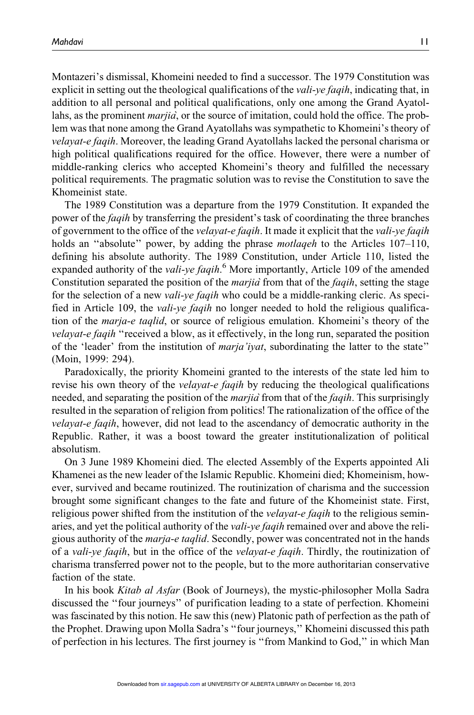Montazeri's dismissal, Khomeini needed to find a successor. The 1979 Constitution was explicit in setting out the theological qualifications of the *vali-ye faqih*, indicating that, in addition to all personal and political qualifications, only one among the Grand Ayatollahs, as the prominent *marjia*, or the source of imitation, could hold the office. The problem was that none among the Grand Ayatollahs was sympathetic to Khomeini's theory of velayat-e faqih. Moreover, the leading Grand Ayatollahs lacked the personal charisma or high political qualifications required for the office. However, there were a number of middle-ranking clerics who accepted Khomeini's theory and fulfilled the necessary political requirements. The pragmatic solution was to revise the Constitution to save the Khomeinist state.

The 1989 Constitution was a departure from the 1979 Constitution. It expanded the power of the faqih by transferring the president's task of coordinating the three branches of government to the office of the *velayat-e faqih*. It made it explicit that the *vali-ye faqih* holds an "absolute" power, by adding the phrase *motlaqeh* to the Articles 107–110, defining his absolute authority. The 1989 Constitution, under Article 110, listed the expanded authority of the vali-ye faqih.<sup>6</sup> More importantly, Article 109 of the amended Constitution separated the position of the *marjia* from that of the *faqih*, setting the stage for the selection of a new *vali-ye faqih* who could be a middle-ranking cleric. As specified in Article 109, the *vali-ye faqih* no longer needed to hold the religious qualification of the *marja-e taqlid*, or source of religious emulation. Khomeini's theory of the velayat-e faqih "received a blow, as it effectively, in the long run, separated the position of the 'leader' from the institution of marja'iyat, subordinating the latter to the state'' (Moin, 1999: 294).

Paradoxically, the priority Khomeini granted to the interests of the state led him to revise his own theory of the *velayat-e faqih* by reducing the theological qualifications needed, and separating the position of the *marjia* from that of the *faqih*. This surprisingly resulted in the separation of religion from politics! The rationalization of the office of the velayat-e faqih, however, did not lead to the ascendancy of democratic authority in the Republic. Rather, it was a boost toward the greater institutionalization of political absolutism.

On 3 June 1989 Khomeini died. The elected Assembly of the Experts appointed Ali Khamenei as the new leader of the Islamic Republic. Khomeini died; Khomeinism, however, survived and became routinized. The routinization of charisma and the succession brought some significant changes to the fate and future of the Khomeinist state. First, religious power shifted from the institution of the *velayat-e faqih* to the religious seminaries, and yet the political authority of the *vali-ye faqih* remained over and above the religious authority of the *marja-e taqlid*. Secondly, power was concentrated not in the hands of a vali-ye faqih, but in the office of the velayat-e faqih. Thirdly, the routinization of charisma transferred power not to the people, but to the more authoritarian conservative faction of the state.

In his book Kitab al Asfar (Book of Journeys), the mystic-philosopher Molla Sadra discussed the ''four journeys'' of purification leading to a state of perfection. Khomeini was fascinated by this notion. He saw this (new) Platonic path of perfection as the path of the Prophet. Drawing upon Molla Sadra's ''four journeys,'' Khomeini discussed this path of perfection in his lectures. The first journ[ey is ''from](http://sir.sagepub.com/) Mankind to God,'' in which Man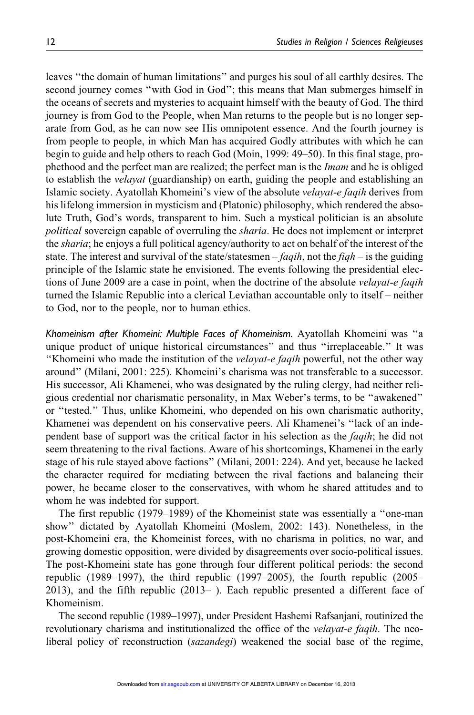leaves ''the domain of human limitations'' and purges his soul of all earthly desires. The second journey comes ''with God in God''; this means that Man submerges himself in the oceans of secrets and mysteries to acquaint himself with the beauty of God. The third journey is from God to the People, when Man returns to the people but is no longer separate from God, as he can now see His omnipotent essence. And the fourth journey is from people to people, in which Man has acquired Godly attributes with which he can begin to guide and help others to reach God (Moin, 1999: 49–50). In this final stage, prophethood and the perfect man are realized; the perfect man is the Imam and he is obliged to establish the *velayat* (guardianship) on earth, guiding the people and establishing an Islamic society. Ayatollah Khomeini's view of the absolute *velayat-e faqih* derives from his lifelong immersion in mysticism and (Platonic) philosophy, which rendered the absolute Truth, God's words, transparent to him. Such a mystical politician is an absolute political sovereign capable of overruling the sharia. He does not implement or interpret the sharia; he enjoys a full political agency/authority to act on behalf of the interest of the state. The interest and survival of the state/statesmen  $-\frac{f a q i h}{h}$ , not the  $\frac{f a h}{h}$  – is the guiding principle of the Islamic state he envisioned. The events following the presidential elections of June 2009 are a case in point, when the doctrine of the absolute velayat-e faqih turned the Islamic Republic into a clerical Leviathan accountable only to itself – neither to God, nor to the people, nor to human ethics.

Khomeinism after Khomeini: Multiple Faces of Khomeinism. Ayatollah Khomeini was ''a unique product of unique historical circumstances'' and thus ''irreplaceable.'' It was ''Khomeini who made the institution of the velayat-e faqih powerful, not the other way around'' (Milani, 2001: 225). Khomeini's charisma was not transferable to a successor. His successor, Ali Khamenei, who was designated by the ruling clergy, had neither religious credential nor charismatic personality, in Max Weber's terms, to be ''awakened'' or ''tested.'' Thus, unlike Khomeini, who depended on his own charismatic authority, Khamenei was dependent on his conservative peers. Ali Khamenei's ''lack of an independent base of support was the critical factor in his selection as the faqih; he did not seem threatening to the rival factions. Aware of his shortcomings, Khamenei in the early stage of his rule stayed above factions'' (Milani, 2001: 224). And yet, because he lacked the character required for mediating between the rival factions and balancing their power, he became closer to the conservatives, with whom he shared attitudes and to whom he was indebted for support.

The first republic (1979–1989) of the Khomeinist state was essentially a ''one-man show'' dictated by Ayatollah Khomeini (Moslem, 2002: 143). Nonetheless, in the post-Khomeini era, the Khomeinist forces, with no charisma in politics, no war, and growing domestic opposition, were divided by disagreements over socio-political issues. The post-Khomeini state has gone through four different political periods: the second republic (1989–1997), the third republic (1997–2005), the fourth republic (2005– 2013), and the fifth republic (2013– ). Each republic presented a different face of Khomeinism.

The second republic (1989–1997), under President Hashemi Rafsanjani, routinized the revolutionary charisma and institutionalized the office of the *velayat-e faqih*. The neoliberal policy of reconstruction *(sazandegi)* weakened the social base of the regime,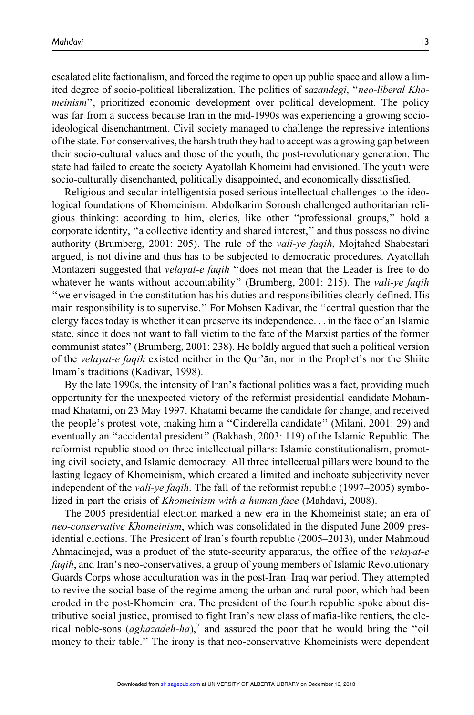escalated elite factionalism, and forced the regime to open up public space and allow a limited degree of socio-political liberalization. The politics of sazandegi, ''neo-liberal Khomeinism'', prioritized economic development over political development. The policy was far from a success because Iran in the mid-1990s was experiencing a growing socioideological disenchantment. Civil society managed to challenge the repressive intentions of the state. For conservatives, the harsh truth they had to accept was a growing gap between their socio-cultural values and those of the youth, the post-revolutionary generation. The state had failed to create the society Ayatollah Khomeini had envisioned. The youth were socio-culturally disenchanted, politically disappointed, and economically dissatisfied.

Religious and secular intelligentsia posed serious intellectual challenges to the ideological foundations of Khomeinism. Abdolkarim Soroush challenged authoritarian religious thinking: according to him, clerics, like other ''professional groups,'' hold a corporate identity, ''a collective identity and shared interest,'' and thus possess no divine authority (Brumberg, 2001: 205). The rule of the *vali-ye faqih*, Mojtahed Shabestari argued, is not divine and thus has to be subjected to democratic procedures. Ayatollah Montazeri suggested that *velayat-e faqih* "does not mean that the Leader is free to do whatever he wants without accountability" (Brumberg, 2001: 215). The *vali-ve faqih* ''we envisaged in the constitution has his duties and responsibilities clearly defined. His main responsibility is to supervise.'' For Mohsen Kadivar, the ''central question that the clergy faces today is whether it can preserve its independence... in the face of an Islamic state, since it does not want to fall victim to the fate of the Marxist parties of the former communist states'' (Brumberg, 2001: 238). He boldly argued that such a political version of the *velayat-e faqih* existed neither in the Qur'an, nor in the Prophet's nor the Shiite Imam's traditions (Kadivar, 1998).

By the late 1990s, the intensity of Iran's factional politics was a fact, providing much opportunity for the unexpected victory of the reformist presidential candidate Mohammad Khatami, on 23 May 1997. Khatami became the candidate for change, and received the people's protest vote, making him a ''Cinderella candidate'' (Milani, 2001: 29) and eventually an ''accidental president'' (Bakhash, 2003: 119) of the Islamic Republic. The reformist republic stood on three intellectual pillars: Islamic constitutionalism, promoting civil society, and Islamic democracy. All three intellectual pillars were bound to the lasting legacy of Khomeinism, which created a limited and inchoate subjectivity never independent of the *vali-ye faqih*. The fall of the reformist republic (1997–2005) symbolized in part the crisis of Khomeinism with a human face (Mahdavi, 2008).

The 2005 presidential election marked a new era in the Khomeinist state; an era of neo-conservative Khomeinism, which was consolidated in the disputed June 2009 presidential elections. The President of Iran's fourth republic (2005–2013), under Mahmoud Ahmadinejad, was a product of the state-security apparatus, the office of the *velayat-e* faqih, and Iran's neo-conservatives, a group of young members of Islamic Revolutionary Guards Corps whose acculturation was in the post-Iran–Iraq war period. They attempted to revive the social base of the regime among the urban and rural poor, which had been eroded in the post-Khomeini era. The president of the fourth republic spoke about distributive social justice, promised to fight Iran's new class of mafia-like rentiers, the clerical noble-sons (*aghazadeh-ha*),<sup>7</sup> and assured the poor that he would bring the "oil money to their table.'' The irony is that n[eo-conserv](http://sir.sagepub.com/)ative Khomeinists were dependent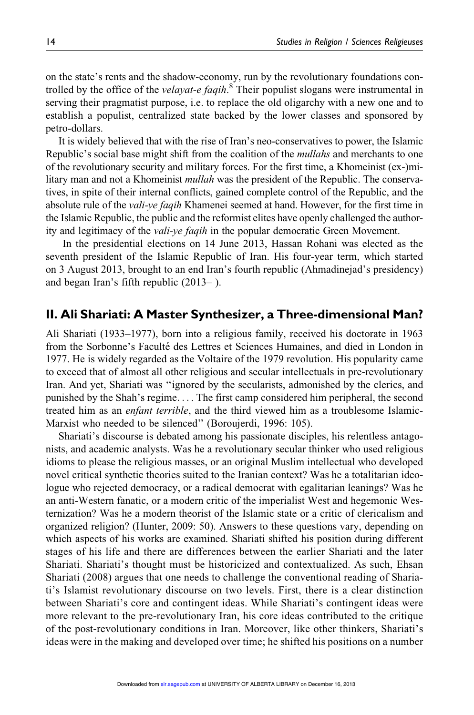on the state's rents and the shadow-economy, run by the revolutionary foundations controlled by the office of the *velayat-e faqih*.<sup>8</sup> Their populist slogans were instrumental in serving their pragmatist purpose, i.e. to replace the old oligarchy with a new one and to establish a populist, centralized state backed by the lower classes and sponsored by petro-dollars.

It is widely believed that with the rise of Iran's neo-conservatives to power, the Islamic Republic's social base might shift from the coalition of the *mullahs* and merchants to one of the revolutionary security and military forces. For the first time, a Khomeinist (ex-)military man and not a Khomeinist *mullah* was the president of the Republic. The conservatives, in spite of their internal conflicts, gained complete control of the Republic, and the absolute rule of the *vali-ye faqih* Khamenei seemed at hand. However, for the first time in the Islamic Republic, the public and the reformist elites have openly challenged the authority and legitimacy of the vali-ye faqih in the popular democratic Green Movement.

In the presidential elections on 14 June 2013, Hassan Rohani was elected as the seventh president of the Islamic Republic of Iran. His four-year term, which started on 3 August 2013, brought to an end Iran's fourth republic (Ahmadinejad's presidency) and began Iran's fifth republic (2013– ).

#### II. Ali Shariati: A Master Synthesizer, a Three-dimensional Man?

Ali Shariati (1933–1977), born into a religious family, received his doctorate in 1963 from the Sorbonne's Faculté des Lettres et Sciences Humaines, and died in London in 1977. He is widely regarded as the Voltaire of the 1979 revolution. His popularity came to exceed that of almost all other religious and secular intellectuals in pre-revolutionary Iran. And yet, Shariati was ''ignored by the secularists, admonished by the clerics, and punished by the Shah's regime... . The first camp considered him peripheral, the second treated him as an enfant terrible, and the third viewed him as a troublesome Islamic-Marxist who needed to be silenced'' (Boroujerdi, 1996: 105).

Shariati's discourse is debated among his passionate disciples, his relentless antagonists, and academic analysts. Was he a revolutionary secular thinker who used religious idioms to please the religious masses, or an original Muslim intellectual who developed novel critical synthetic theories suited to the Iranian context? Was he a totalitarian ideologue who rejected democracy, or a radical democrat with egalitarian leanings? Was he an anti-Western fanatic, or a modern critic of the imperialist West and hegemonic Westernization? Was he a modern theorist of the Islamic state or a critic of clericalism and organized religion? (Hunter, 2009: 50). Answers to these questions vary, depending on which aspects of his works are examined. Shariati shifted his position during different stages of his life and there are differences between the earlier Shariati and the later Shariati. Shariati's thought must be historicized and contextualized. As such, Ehsan Shariati (2008) argues that one needs to challenge the conventional reading of Shariati's Islamist revolutionary discourse on two levels. First, there is a clear distinction between Shariati's core and contingent ideas. While Shariati's contingent ideas were more relevant to the pre-revolutionary Iran, his core ideas contributed to the critique of the post-revolutionary conditions in Iran. Moreover, like other thinkers, Shariati's ideas were in the making and developed ov[er time; he](http://sir.sagepub.com/) shifted his positions on a number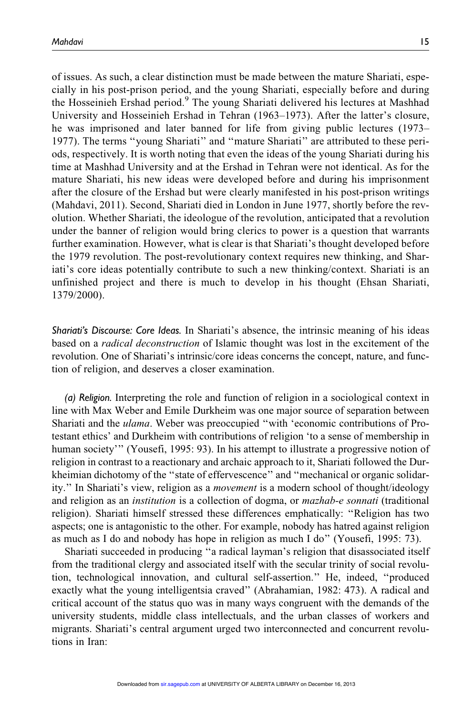of issues. As such, a clear distinction must be made between the mature Shariati, especially in his post-prison period, and the young Shariati, especially before and during the Hosseinieh Ershad period.<sup>9</sup> The young Shariati delivered his lectures at Mashhad University and Hosseinieh Ershad in Tehran (1963–1973). After the latter's closure, he was imprisoned and later banned for life from giving public lectures (1973– 1977). The terms ''young Shariati'' and ''mature Shariati'' are attributed to these periods, respectively. It is worth noting that even the ideas of the young Shariati during his

time at Mashhad University and at the Ershad in Tehran were not identical. As for the mature Shariati, his new ideas were developed before and during his imprisonment after the closure of the Ershad but were clearly manifested in his post-prison writings (Mahdavi, 2011). Second, Shariati died in London in June 1977, shortly before the revolution. Whether Shariati, the ideologue of the revolution, anticipated that a revolution under the banner of religion would bring clerics to power is a question that warrants further examination. However, what is clear is that Shariati's thought developed before the 1979 revolution. The post-revolutionary context requires new thinking, and Shariati's core ideas potentially contribute to such a new thinking/context. Shariati is an unfinished project and there is much to develop in his thought (Ehsan Shariati, 1379/2000).

Shariati's Discourse: Core Ideas. In Shariati's absence, the intrinsic meaning of his ideas based on a radical deconstruction of Islamic thought was lost in the excitement of the revolution. One of Shariati's intrinsic/core ideas concerns the concept, nature, and function of religion, and deserves a closer examination.

(a) Religion. Interpreting the role and function of religion in a sociological context in line with Max Weber and Emile Durkheim was one major source of separation between Shariati and the ulama. Weber was preoccupied ''with 'economic contributions of Protestant ethics' and Durkheim with contributions of religion 'to a sense of membership in human society''' (Yousefi, 1995: 93). In his attempt to illustrate a progressive notion of religion in contrast to a reactionary and archaic approach to it, Shariati followed the Durkheimian dichotomy of the ''state of effervescence'' and ''mechanical or organic solidarity.'' In Shariati's view, religion as a movement is a modern school of thought/ideology and religion as an *institution* is a collection of dogma, or *mazhab-e sonnati* (traditional religion). Shariati himself stressed these differences emphatically: ''Religion has two aspects; one is antagonistic to the other. For example, nobody has hatred against religion as much as I do and nobody has hope in religion as much I do'' (Yousefi, 1995: 73).

Shariati succeeded in producing ''a radical layman's religion that disassociated itself from the traditional clergy and associated itself with the secular trinity of social revolution, technological innovation, and cultural self-assertion.'' He, indeed, ''produced exactly what the young intelligentsia craved'' (Abrahamian, 1982: 473). A radical and critical account of the status quo was in many ways congruent with the demands of the university students, middle class intellectuals, and the urban classes of workers and migrants. Shariati's central argument urged two interconnected and concurrent revolutions in Iran: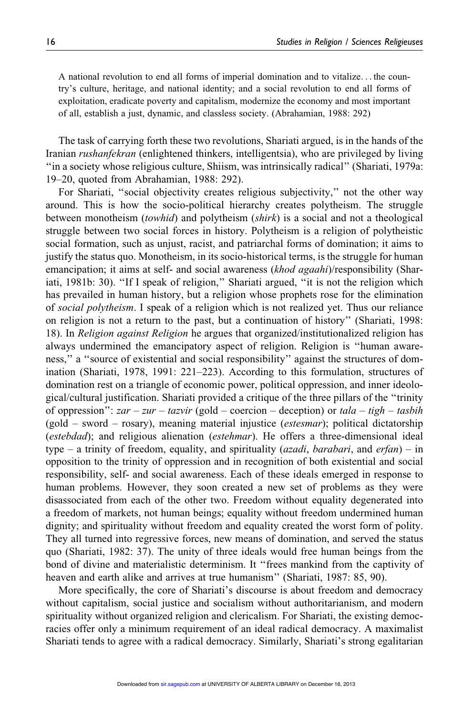A national revolution to end all forms of imperial domination and to vitalize... the country's culture, heritage, and national identity; and a social revolution to end all forms of exploitation, eradicate poverty and capitalism, modernize the economy and most important of all, establish a just, dynamic, and classless society. (Abrahamian, 1988: 292)

The task of carrying forth these two revolutions, Shariati argued, is in the hands of the Iranian rushanfekran (enlightened thinkers, intelligentsia), who are privileged by living ''in a society whose religious culture, Shiism, was intrinsically radical'' (Shariati, 1979a: 19–20, quoted from Abrahamian, 1988: 292).

For Shariati, ''social objectivity creates religious subjectivity,'' not the other way around. This is how the socio-political hierarchy creates polytheism. The struggle between monotheism *(towhid)* and polytheism *(shirk)* is a social and not a theological struggle between two social forces in history. Polytheism is a religion of polytheistic social formation, such as unjust, racist, and patriarchal forms of domination; it aims to justify the status quo. Monotheism, in its socio-historical terms, is the struggle for human emancipation; it aims at self- and social awareness (khod agaahi)/responsibility (Shariati, 1981b: 30). ''If I speak of religion,'' Shariati argued, ''it is not the religion which has prevailed in human history, but a religion whose prophets rose for the elimination of social polytheism. I speak of a religion which is not realized yet. Thus our reliance on religion is not a return to the past, but a continuation of history'' (Shariati, 1998: 18). In Religion against Religion he argues that organized/institutionalized religion has always undermined the emancipatory aspect of religion. Religion is ''human awareness,'' a ''source of existential and social responsibility'' against the structures of domination (Shariati, 1978, 1991: 221–223). According to this formulation, structures of domination rest on a triangle of economic power, political oppression, and inner ideological/cultural justification. Shariati provided a critique of the three pillars of the ''trinity of oppression":  $zar - zur - tazvir$  (gold – coercion – deception) or  $tala - tigh - tashih$ (gold – sword – rosary), meaning material injustice (estesmar); political dictatorship (estebdad); and religious alienation (estehmar). He offers a three-dimensional ideal type – a trinity of freedom, equality, and spirituality (*azadi*, *barabari*, and  $erfan$ ) – in opposition to the trinity of oppression and in recognition of both existential and social responsibility, self- and social awareness. Each of these ideals emerged in response to human problems. However, they soon created a new set of problems as they were disassociated from each of the other two. Freedom without equality degenerated into a freedom of markets, not human beings; equality without freedom undermined human dignity; and spirituality without freedom and equality created the worst form of polity. They all turned into regressive forces, new means of domination, and served the status quo (Shariati, 1982: 37). The unity of three ideals would free human beings from the bond of divine and materialistic determinism. It ''frees mankind from the captivity of heaven and earth alike and arrives at true humanism'' (Shariati, 1987: 85, 90).

More specifically, the core of Shariati's discourse is about freedom and democracy without capitalism, social justice and socialism without authoritarianism, and modern spirituality without organized religion and clericalism. For Shariati, the existing democracies offer only a minimum requirement of an ideal radical democracy. A maximalist Shariati tends to agree with a radical democ[racy.](http://sir.sagepub.com/) [Simil](http://sir.sagepub.com/)arly, Shariati's strong egalitarian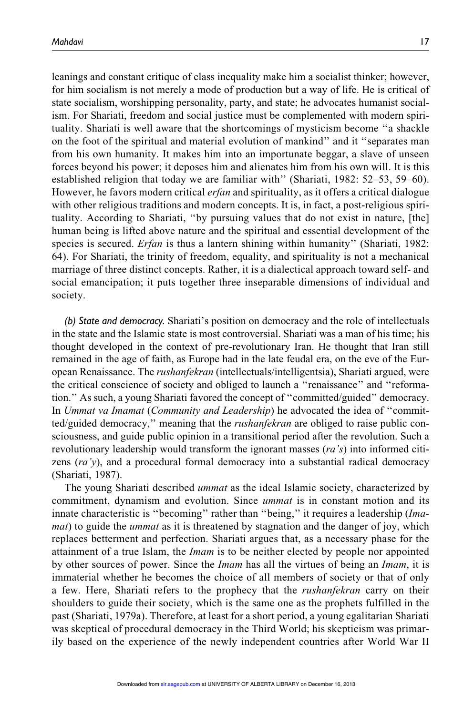leanings and constant critique of class inequality make him a socialist thinker; however, for him socialism is not merely a mode of production but a way of life. He is critical of state socialism, worshipping personality, party, and state; he advocates humanist socialism. For Shariati, freedom and social justice must be complemented with modern spirituality. Shariati is well aware that the shortcomings of mysticism become ''a shackle on the foot of the spiritual and material evolution of mankind'' and it ''separates man from his own humanity. It makes him into an importunate beggar, a slave of unseen forces beyond his power; it deposes him and alienates him from his own will. It is this established religion that today we are familiar with'' (Shariati, 1982: 52–53, 59–60). However, he favors modern critical *erfan* and spirituality, as it offers a critical dialogue with other religious traditions and modern concepts. It is, in fact, a post-religious spirituality. According to Shariati, ''by pursuing values that do not exist in nature, [the] human being is lifted above nature and the spiritual and essential development of the species is secured. *Erfan* is thus a lantern shining within humanity'' (Shariati, 1982: 64). For Shariati, the trinity of freedom, equality, and spirituality is not a mechanical marriage of three distinct concepts. Rather, it is a dialectical approach toward self- and social emancipation; it puts together three inseparable dimensions of individual and society.

(b) State and democracy. Shariati's position on democracy and the role of intellectuals in the state and the Islamic state is most controversial. Shariati was a man of his time; his thought developed in the context of pre-revolutionary Iran. He thought that Iran still remained in the age of faith, as Europe had in the late feudal era, on the eve of the European Renaissance. The rushanfekran (intellectuals/intelligentsia), Shariati argued, were the critical conscience of society and obliged to launch a ''renaissance'' and ''reformation.'' As such, a young Shariati favored the concept of ''committed/guided'' democracy. In Ummat va Imamat (Community and Leadership) he advocated the idea of ''committed/guided democracy," meaning that the *rushanfekran* are obliged to raise public consciousness, and guide public opinion in a transitional period after the revolution. Such a revolutionary leadership would transform the ignorant masses  $-ra's)$  into informed citizens  $-ra'y)$ , and a procedural formal democracy into a substantial radical democracy (Shariati, 1987).

The young Shariati described *ummat* as the ideal Islamic society, characterized by commitment, dynamism and evolution. Since *ummat* is in constant motion and its innate characteristic is "becoming" rather than "being," it requires a leadership (*Imamat*) to guide the *ummat* as it is threatened by stagnation and the danger of joy, which replaces betterment and perfection. Shariati argues that, as a necessary phase for the attainment of a true Islam, the Imam is to be neither elected by people nor appointed by other sources of power. Since the *Imam* has all the virtues of being an *Imam*, it is immaterial whether he becomes the choice of all members of society or that of only a few. Here, Shariati refers to the prophecy that the rushanfekran carry on their shoulders to guide their society, which is the same one as the prophets fulfilled in the past (Shariati, 1979a). Therefore, at least for a short period, a young egalitarian Shariati was skeptical of procedural democracy in the Third World; his skepticism was primarily based on the experience of the newl[y independ](http://sir.sagepub.com/)ent countries after World War II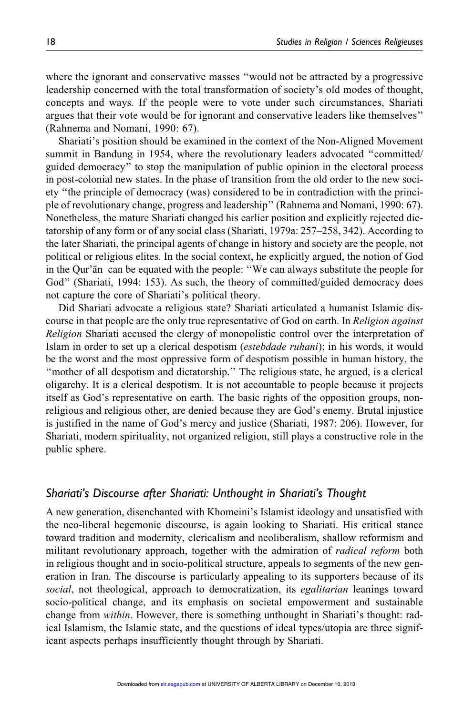where the ignorant and conservative masses ''would not be attracted by a progressive leadership concerned with the total transformation of society's old modes of thought, concepts and ways. If the people were to vote under such circumstances, Shariati argues that their vote would be for ignorant and conservative leaders like themselves'' (Rahnema and Nomani, 1990: 67).

Shariati's position should be examined in the context of the Non-Aligned Movement summit in Bandung in 1954, where the revolutionary leaders advocated ''committed/ guided democracy'' to stop the manipulation of public opinion in the electoral process in post-colonial new states. In the phase of transition from the old order to the new society ''the principle of democracy (was) considered to be in contradiction with the principle of revolutionary change, progress and leadership'' (Rahnema and Nomani, 1990: 67). Nonetheless, the mature Shariati changed his earlier position and explicitly rejected dictatorship of any form or of any social class (Shariati, 1979a: 257–258, 342). According to the later Shariati, the principal agents of change in history and society are the people, not political or religious elites. In the social context, he explicitly argued, the notion of God in the Qur'an can be equated with the people: "We can always substitute the people for God'' (Shariati, 1994: 153). As such, the theory of committed/guided democracy does not capture the core of Shariati's political theory.

Did Shariati advocate a religious state? Shariati articulated a humanist Islamic discourse in that people are the only true representative of God on earth. In Religion against Religion Shariati accused the clergy of monopolistic control over the interpretation of Islam in order to set up a clerical despotism (estebdade ruhani); in his words, it would be the worst and the most oppressive form of despotism possible in human history, the ''mother of all despotism and dictatorship.'' The religious state, he argued, is a clerical oligarchy. It is a clerical despotism. It is not accountable to people because it projects itself as God's representative on earth. The basic rights of the opposition groups, nonreligious and religious other, are denied because they are God's enemy. Brutal injustice is justified in the name of God's mercy and justice (Shariati, 1987: 206). However, for Shariati, modern spirituality, not organized religion, still plays a constructive role in the public sphere.

# Shariati's Discourse after Shariati: Unthought in Shariati's Thought

A new generation, disenchanted with Khomeini's Islamist ideology and unsatisfied with the neo-liberal hegemonic discourse, is again looking to Shariati. His critical stance toward tradition and modernity, clericalism and neoliberalism, shallow reformism and militant revolutionary approach, together with the admiration of *radical reform* both in religious thought and in socio-political structure, appeals to segments of the new generation in Iran. The discourse is particularly appealing to its supporters because of its social, not theological, approach to democratization, its *egalitarian* leanings toward socio-political change, and its emphasis on societal empowerment and sustainable change from *within*. However, there is something unthought in Shariati's thought: radical Islamism, the Islamic state, and the questions of ideal types/utopia are three significant aspects perhaps insufficiently thought [through](http://sir.sagepub.com/) [by](http://sir.sagepub.com/) Shariati.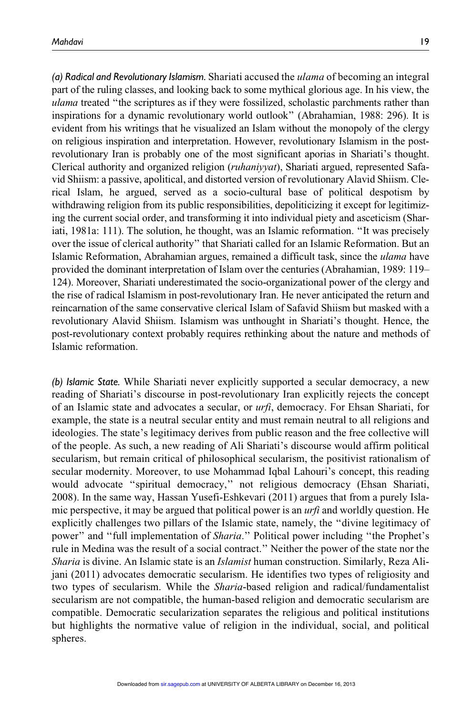(a) Radical and Revolutionary Islamism. Shariati accused the *ulama* of becoming an integral part of the ruling classes, and looking back to some mythical glorious age. In his view, the ulama treated "the scriptures as if they were fossilized, scholastic parchments rather than inspirations for a dynamic revolutionary world outlook'' (Abrahamian, 1988: 296). It is evident from his writings that he visualized an Islam without the monopoly of the clergy on religious inspiration and interpretation. However, revolutionary Islamism in the postrevolutionary Iran is probably one of the most significant aporias in Shariati's thought. Clerical authority and organized religion (ruhaniyyat), Shariati argued, represented Safavid Shiism: a passive, apolitical, and distorted version of revolutionary Alavid Shiism. Clerical Islam, he argued, served as a socio-cultural base of political despotism by withdrawing religion from its public responsibilities, depoliticizing it except for legitimizing the current social order, and transforming it into individual piety and asceticism (Shariati, 1981a: 111). The solution, he thought, was an Islamic reformation. ''It was precisely over the issue of clerical authority'' that Shariati called for an Islamic Reformation. But an Islamic Reformation, Abrahamian argues, remained a difficult task, since the ulama have provided the dominant interpretation of Islam over the centuries (Abrahamian, 1989: 119– 124). Moreover, Shariati underestimated the socio-organizational power of the clergy and the rise of radical Islamism in post-revolutionary Iran. He never anticipated the return and reincarnation of the same conservative clerical Islam of Safavid Shiism but masked with a revolutionary Alavid Shiism. Islamism was unthought in Shariati's thought. Hence, the post-revolutionary context probably requires rethinking about the nature and methods of Islamic reformation.

(b) Islamic State. While Shariati never explicitly supported a secular democracy, a new reading of Shariati's discourse in post-revolutionary Iran explicitly rejects the concept of an Islamic state and advocates a secular, or urfi, democracy. For Ehsan Shariati, for example, the state is a neutral secular entity and must remain neutral to all religions and ideologies. The state's legitimacy derives from public reason and the free collective will of the people. As such, a new reading of Ali Shariati's discourse would affirm political secularism, but remain critical of philosophical secularism, the positivist rationalism of secular modernity. Moreover, to use Mohammad Iqbal Lahouri's concept, this reading would advocate ''spiritual democracy,'' not religious democracy (Ehsan Shariati, 2008). In the same way, Hassan Yusefi-Eshkevari (2011) argues that from a purely Islamic perspective, it may be argued that political power is an  $urfi$  and worldly question. He explicitly challenges two pillars of the Islamic state, namely, the ''divine legitimacy of power'' and ''full implementation of Sharia.'' Political power including ''the Prophet's rule in Medina was the result of a social contract.'' Neither the power of the state nor the Sharia is divine. An Islamic state is an Islamist human construction. Similarly, Reza Alijani (2011) advocates democratic secularism. He identifies two types of religiosity and two types of secularism. While the Sharia-based religion and radical/fundamentalist secularism are not compatible, the human-based religion and democratic secularism are compatible. Democratic secularization separates the religious and political institutions but highlights the normative value of religion in the individual, social, and political spheres.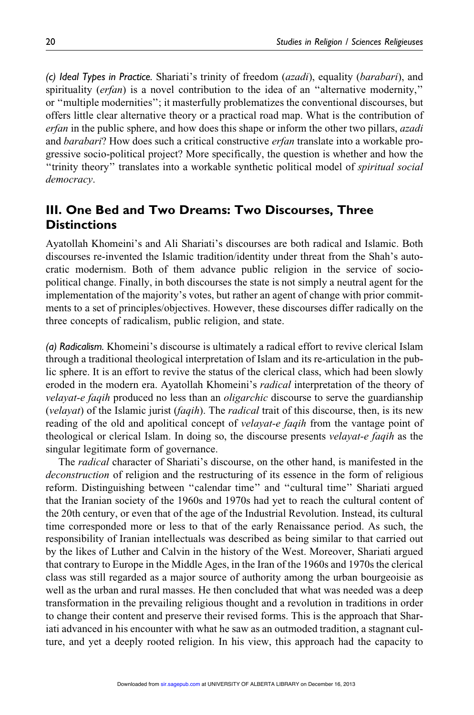(c) Ideal Types in Practice. Shariati's trinity of freedom (azadi), equality (barabari), and spirituality (erfan) is a novel contribution to the idea of an "alternative modernity," or ''multiple modernities''; it masterfully problematizes the conventional discourses, but offers little clear alternative theory or a practical road map. What is the contribution of erfan in the public sphere, and how does this shape or inform the other two pillars, azadi and *barabari*? How does such a critical constructive *erfan* translate into a workable progressive socio-political project? More specifically, the question is whether and how the "trinity theory" translates into a workable synthetic political model of spiritual social democracy.

# III. One Bed and Two Dreams: Two Discourses, Three **Distinctions**

Ayatollah Khomeini's and Ali Shariati's discourses are both radical and Islamic. Both discourses re-invented the Islamic tradition/identity under threat from the Shah's autocratic modernism. Both of them advance public religion in the service of sociopolitical change. Finally, in both discourses the state is not simply a neutral agent for the implementation of the majority's votes, but rather an agent of change with prior commitments to a set of principles/objectives. However, these discourses differ radically on the three concepts of radicalism, public religion, and state.

(a) Radicalism. Khomeini's discourse is ultimately a radical effort to revive clerical Islam through a traditional theological interpretation of Islam and its re-articulation in the public sphere. It is an effort to revive the status of the clerical class, which had been slowly eroded in the modern era. Ayatollah Khomeini's *radical* interpretation of the theory of velayat-e faqih produced no less than an *oligarchic* discourse to serve the guardianship (velayat) of the Islamic jurist (faqih). The *radical* trait of this discourse, then, is its new reading of the old and apolitical concept of *velayat-e faqih* from the vantage point of theological or clerical Islam. In doing so, the discourse presents *velayat-e faqih* as the singular legitimate form of governance.

The *radical* character of Shariati's discourse, on the other hand, is manifested in the deconstruction of religion and the restructuring of its essence in the form of religious reform. Distinguishing between ''calendar time'' and ''cultural time'' Shariati argued that the Iranian society of the 1960s and 1970s had yet to reach the cultural content of the 20th century, or even that of the age of the Industrial Revolution. Instead, its cultural time corresponded more or less to that of the early Renaissance period. As such, the responsibility of Iranian intellectuals was described as being similar to that carried out by the likes of Luther and Calvin in the history of the West. Moreover, Shariati argued that contrary to Europe in the Middle Ages, in the Iran of the 1960s and 1970s the clerical class was still regarded as a major source of authority among the urban bourgeoisie as well as the urban and rural masses. He then concluded that what was needed was a deep transformation in the prevailing religious thought and a revolution in traditions in order to change their content and preserve their revised forms. This is the approach that Shariati advanced in his encounter with what he saw as an outmoded tradition, a stagnant culture, and yet a deeply rooted religion. In [his view, th](http://sir.sagepub.com/)is approach had the capacity to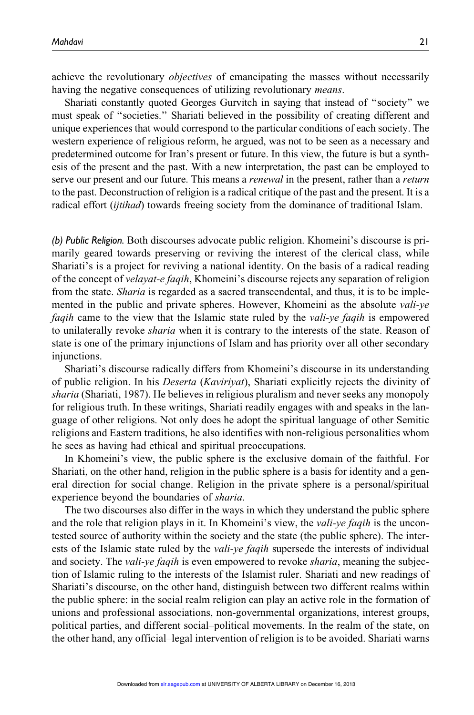achieve the revolutionary objectives of emancipating the masses without necessarily having the negative consequences of utilizing revolutionary *means*.

Shariati constantly quoted Georges Gurvitch in saying that instead of ''society'' we must speak of ''societies.'' Shariati believed in the possibility of creating different and unique experiences that would correspond to the particular conditions of each society. The western experience of religious reform, he argued, was not to be seen as a necessary and predetermined outcome for Iran's present or future. In this view, the future is but a synthesis of the present and the past. With a new interpretation, the past can be employed to serve our present and our future. This means a *renewal* in the present, rather than a *return* to the past. Deconstruction of religion is a radical critique of the past and the present. It is a radical effort (*ijtihad*) towards freeing society from the dominance of traditional Islam.

(b) Public Religion. Both discourses advocate public religion. Khomeini's discourse is primarily geared towards preserving or reviving the interest of the clerical class, while Shariati's is a project for reviving a national identity. On the basis of a radical reading of the concept of velayat-e faqih, Khomeini's discourse rejects any separation of religion from the state. Sharia is regarded as a sacred transcendental, and thus, it is to be implemented in the public and private spheres. However, Khomeini as the absolute *vali-ye* faqih came to the view that the Islamic state ruled by the vali-ye faqih is empowered to unilaterally revoke sharia when it is contrary to the interests of the state. Reason of state is one of the primary injunctions of Islam and has priority over all other secondary injunctions.

Shariati's discourse radically differs from Khomeini's discourse in its understanding of public religion. In his Deserta (Kaviriyat), Shariati explicitly rejects the divinity of sharia (Shariati, 1987). He believes in religious pluralism and never seeks any monopoly for religious truth. In these writings, Shariati readily engages with and speaks in the language of other religions. Not only does he adopt the spiritual language of other Semitic religions and Eastern traditions, he also identifies with non-religious personalities whom he sees as having had ethical and spiritual preoccupations.

In Khomeini's view, the public sphere is the exclusive domain of the faithful. For Shariati, on the other hand, religion in the public sphere is a basis for identity and a general direction for social change. Religion in the private sphere is a personal/spiritual experience beyond the boundaries of sharia.

The two discourses also differ in the ways in which they understand the public sphere and the role that religion plays in it. In Khomeini's view, the *vali-ye faqih* is the uncontested source of authority within the society and the state (the public sphere). The interests of the Islamic state ruled by the *vali-ye faqih* supersede the interests of individual and society. The *vali-ye faqih* is even empowered to revoke *sharia*, meaning the subjection of Islamic ruling to the interests of the Islamist ruler. Shariati and new readings of Shariati's discourse, on the other hand, distinguish between two different realms within the public sphere: in the social realm religion can play an active role in the formation of unions and professional associations, non-governmental organizations, interest groups, political parties, and different social–political movements. In the realm of the state, on the other hand, any official–legal intervention of religion is to be avoided. Shariati warns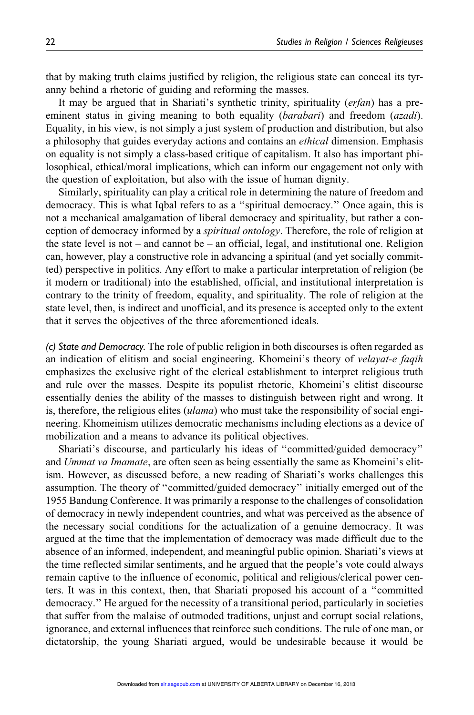that by making truth claims justified by religion, the religious state can conceal its tyranny behind a rhetoric of guiding and reforming the masses.

It may be argued that in Shariati's synthetic trinity, spirituality (erfan) has a preeminent status in giving meaning to both equality (*barabari*) and freedom (*azadi*). Equality, in his view, is not simply a just system of production and distribution, but also a philosophy that guides everyday actions and contains an *ethical* dimension. Emphasis on equality is not simply a class-based critique of capitalism. It also has important philosophical, ethical/moral implications, which can inform our engagement not only with the question of exploitation, but also with the issue of human dignity.

Similarly, spirituality can play a critical role in determining the nature of freedom and democracy. This is what Iqbal refers to as a ''spiritual democracy.'' Once again, this is not a mechanical amalgamation of liberal democracy and spirituality, but rather a conception of democracy informed by a *spiritual ontology*. Therefore, the role of religion at the state level is not – and cannot be – an official, legal, and institutional one. Religion can, however, play a constructive role in advancing a spiritual (and yet socially committed) perspective in politics. Any effort to make a particular interpretation of religion (be it modern or traditional) into the established, official, and institutional interpretation is contrary to the trinity of freedom, equality, and spirituality. The role of religion at the state level, then, is indirect and unofficial, and its presence is accepted only to the extent that it serves the objectives of the three aforementioned ideals.

(c) State and Democracy. The role of public religion in both discourses is often regarded as an indication of elitism and social engineering. Khomeini's theory of velayat-e faqih emphasizes the exclusive right of the clerical establishment to interpret religious truth and rule over the masses. Despite its populist rhetoric, Khomeini's elitist discourse essentially denies the ability of the masses to distinguish between right and wrong. It is, therefore, the religious elites (*ulama*) who must take the responsibility of social engineering. Khomeinism utilizes democratic mechanisms including elections as a device of mobilization and a means to advance its political objectives.

Shariati's discourse, and particularly his ideas of ''committed/guided democracy'' and Ummat va Imamate, are often seen as being essentially the same as Khomeini's elitism. However, as discussed before, a new reading of Shariati's works challenges this assumption. The theory of ''committed/guided democracy'' initially emerged out of the 1955 Bandung Conference. It was primarily a response to the challenges of consolidation of democracy in newly independent countries, and what was perceived as the absence of the necessary social conditions for the actualization of a genuine democracy. It was argued at the time that the implementation of democracy was made difficult due to the absence of an informed, independent, and meaningful public opinion. Shariati's views at the time reflected similar sentiments, and he argued that the people's vote could always remain captive to the influence of economic, political and religious/clerical power centers. It was in this context, then, that Shariati proposed his account of a ''committed democracy.'' He argued for the necessity of a transitional period, particularly in societies that suffer from the malaise of outmoded traditions, unjust and corrupt social relations, ignorance, and external influences that reinforce such conditions. The rule of one man, or dictatorship, the young Shariati argued, [would be u](http://sir.sagepub.com/)ndesirable because it would be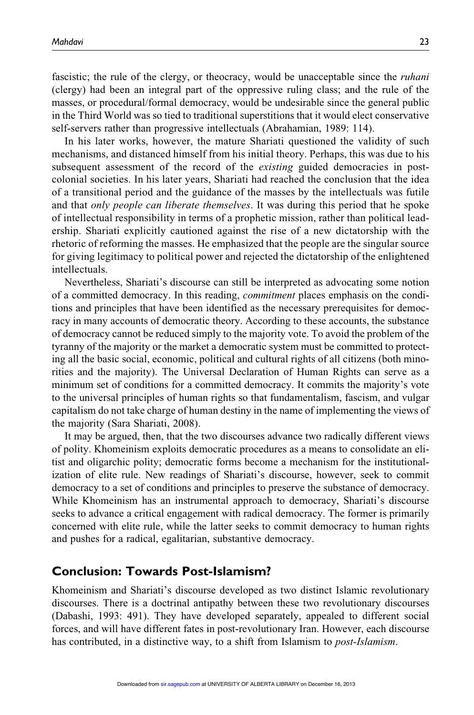fascistic; the rule of the clergy, or theocracy, would be unacceptable since the *ruhani* (clergy) had been an integral part of the oppressive ruling class; and the rule of the masses, or procedural/formal democracy, would be undesirable since the general public in the Third World was so tied to traditional superstitions that it would elect conservative self-servers rather than progressive intellectuals (Abrahamian, 1989: 114).

In his later works, however, the mature Shariati questioned the validity of such mechanisms, and distanced himself from his initial theory. Perhaps, this was due to his subsequent assessment of the record of the *existing* guided democracies in postcolonial societies. In his later years, Shariati had reached the conclusion that the idea of a transitional period and the guidance of the masses by the intellectuals was futile and that *only people can liberate themselves*. It was during this period that he spoke of intellectual responsibility in terms of a prophetic mission, rather than political leadership. Shariati explicitly cautioned against the rise of a new dictatorship with the rhetoric of reforming the masses. He emphasized that the people are the singular source for giving legitimacy to political power and rejected the dictatorship of the enlightened intellectuals.

Nevertheless, Shariati's discourse can still be interpreted as advocating some notion of a committed democracy. In this reading, commitment places emphasis on the conditions and principles that have been identified as the necessary prerequisites for democracy in many accounts of democratic theory. According to these accounts, the substance of democracy cannot be reduced simply to the majority vote. To avoid the problem of the tyranny of the majority or the market a democratic system must be committed to protecting all the basic social, economic, political and cultural rights of all citizens (both minorities and the majority). The Universal Declaration of Human Rights can serve as a minimum set of conditions for a committed democracy. It commits the majority's vote to the universal principles of human rights so that fundamentalism, fascism, and vulgar capitalism do not take charge of human destiny in the name of implementing the views of the majority (Sara Shariati, 2008).

It may be argued, then, that the two discourses advance two radically different views of polity. Khomeinism exploits democratic procedures as a means to consolidate an elitist and oligarchic polity; democratic forms become a mechanism for the institutionalization of elite rule. New readings of Shariati's discourse, however, seek to commit democracy to a set of conditions and principles to preserve the substance of democracy. While Khomeinism has an instrumental approach to democracy, Shariati's discourse seeks to advance a critical engagement with radical democracy. The former is primarily concerned with elite rule, while the latter seeks to commit democracy to human rights and pushes for a radical, egalitarian, substantive democracy.

# Conclusion: Towards Post-Islamism?

Khomeinism and Shariati's discourse developed as two distinct Islamic revolutionary discourses. There is a doctrinal antipathy between these two revolutionary discourses (Dabashi, 1993: 491). They have developed separately, appealed to different social forces, and will have different fates in post-revolutionary Iran. However, each discourse has contributed, in a distinctive way, to a [shift from](http://sir.sagepub.com/) Islamism to *post-Islamism*.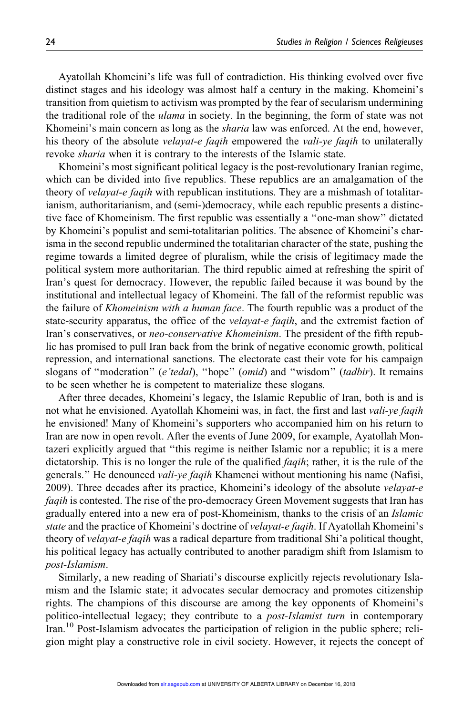Ayatollah Khomeini's life was full of contradiction. His thinking evolved over five distinct stages and his ideology was almost half a century in the making. Khomeini's transition from quietism to activism was prompted by the fear of secularism undermining the traditional role of the *ulama* in society. In the beginning, the form of state was not Khomeini's main concern as long as the *sharia* law was enforced. At the end, however, his theory of the absolute *velayat-e faqih* empowered the *vali-ye faqih* to unilaterally revoke sharia when it is contrary to the interests of the Islamic state.

Khomeini's most significant political legacy is the post-revolutionary Iranian regime, which can be divided into five republics. These republics are an amalgamation of the theory of *velayat-e faqih* with republican institutions. They are a mishmash of totalitarianism, authoritarianism, and (semi-)democracy, while each republic presents a distinctive face of Khomeinism. The first republic was essentially a ''one-man show'' dictated by Khomeini's populist and semi-totalitarian politics. The absence of Khomeini's charisma in the second republic undermined the totalitarian character of the state, pushing the regime towards a limited degree of pluralism, while the crisis of legitimacy made the political system more authoritarian. The third republic aimed at refreshing the spirit of Iran's quest for democracy. However, the republic failed because it was bound by the institutional and intellectual legacy of Khomeini. The fall of the reformist republic was the failure of Khomeinism with a human face. The fourth republic was a product of the state-security apparatus, the office of the *velayat-e faqih*, and the extremist faction of Iran's conservatives, or neo-conservative Khomeinism. The president of the fifth republic has promised to pull Iran back from the brink of negative economic growth, political repression, and international sanctions. The electorate cast their vote for his campaign slogans of "moderation" (e'tedal), "hope" (omid) and "wisdom" (tadbir). It remains to be seen whether he is competent to materialize these slogans.

After three decades, Khomeini's legacy, the Islamic Republic of Iran, both is and is not what he envisioned. Ayatollah Khomeini was, in fact, the first and last vali-ve faqih he envisioned! Many of Khomeini's supporters who accompanied him on his return to Iran are now in open revolt. After the events of June 2009, for example, Ayatollah Montazeri explicitly argued that ''this regime is neither Islamic nor a republic; it is a mere dictatorship. This is no longer the rule of the qualified *faqih*; rather, it is the rule of the generals.'' He denounced vali-ye faqih Khamenei without mentioning his name (Nafisi, 2009). Three decades after its practice, Khomeini's ideology of the absolute *velayat-e* faqih is contested. The rise of the pro-democracy Green Movement suggests that Iran has gradually entered into a new era of post-Khomeinism, thanks to the crisis of an Islamic state and the practice of Khomeini's doctrine of velayat-e faqih. If Ayatollah Khomeini's theory of velayat-e faqih was a radical departure from traditional Shi'a political thought, his political legacy has actually contributed to another paradigm shift from Islamism to post-Islamism.

Similarly, a new reading of Shariati's discourse explicitly rejects revolutionary Islamism and the Islamic state; it advocates secular democracy and promotes citizenship rights. The champions of this discourse are among the key opponents of Khomeini's politico-intellectual legacy; they contribute to a *post-Islamist turn* in contemporary Iran.<sup>10</sup> Post-Islamism advocates the participation of religion in the public sphere; religion might play a constructive role in civil [society. H](http://sir.sagepub.com/)owever, it rejects the concept of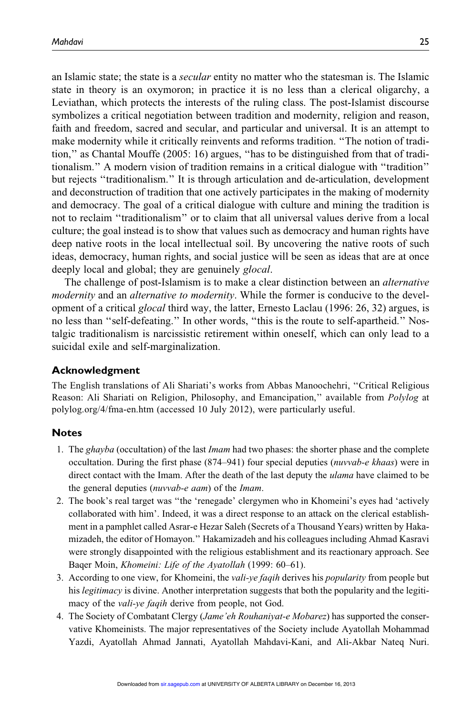an Islamic state; the state is a secular entity no matter who the statesman is. The Islamic state in theory is an oxymoron; in practice it is no less than a clerical oligarchy, a Leviathan, which protects the interests of the ruling class. The post-Islamist discourse symbolizes a critical negotiation between tradition and modernity, religion and reason, faith and freedom, sacred and secular, and particular and universal. It is an attempt to make modernity while it critically reinvents and reforms tradition. ''The notion of tradition,'' as Chantal Mouffe (2005: 16) argues, ''has to be distinguished from that of traditionalism.'' A modern vision of tradition remains in a critical dialogue with ''tradition'' but rejects ''traditionalism.'' It is through articulation and de-articulation, development and deconstruction of tradition that one actively participates in the making of modernity and democracy. The goal of a critical dialogue with culture and mining the tradition is not to reclaim ''traditionalism'' or to claim that all universal values derive from a local culture; the goal instead is to show that values such as democracy and human rights have deep native roots in the local intellectual soil. By uncovering the native roots of such ideas, democracy, human rights, and social justice will be seen as ideas that are at once deeply local and global; they are genuinely *glocal*.

The challenge of post-Islamism is to make a clear distinction between an alternative modernity and an *alternative to modernity*. While the former is conducive to the development of a critical *glocal* third way, the latter, Ernesto Laclau (1996: 26, 32) argues, is no less than ''self-defeating.'' In other words, ''this is the route to self-apartheid.'' Nostalgic traditionalism is narcissistic retirement within oneself, which can only lead to a suicidal exile and self-marginalization.

#### Acknowledgment

The English translations of Ali Shariati's works from Abbas Manoochehri, ''Critical Religious Reason: Ali Shariati on Religion, Philosophy, and Emancipation," available from Polylog at polylog.org/4/fma-en.htm (accessed 10 July 2012), were particularly useful.

#### **Notes**

- 1. The ghayba (occultation) of the last Imam had two phases: the shorter phase and the complete occultation. During the first phase (874–941) four special deputies (nuvvab-e khaas) were in direct contact with the Imam. After the death of the last deputy the *ulama* have claimed to be the general deputies (nuvvab-e aam) of the Imam.
- 2. The book's real target was ''the 'renegade' clergymen who in Khomeini's eyes had 'actively collaborated with him'. Indeed, it was a direct response to an attack on the clerical establishment in a pamphlet called Asrar-e Hezar Saleh (Secrets of a Thousand Years) written by Hakamizadeh, the editor of Homayon.'' Hakamizadeh and his colleagues including Ahmad Kasravi were strongly disappointed with the religious establishment and its reactionary approach. See Baqer Moin, Khomeini: Life of the Ayatollah (1999: 60–61).
- 3. According to one view, for Khomeini, the vali-ye faqih derives his popularity from people but his *legitimacy* is divine. Another interpretation suggests that both the popularity and the legitimacy of the *vali-ye faqih* derive from people, not God.
- 4. The Society of Combatant Clergy (Jame'eh Rouhaniyat-e Mobarez) has supported the conservative Khomeinists. The major representatives of the Society include Ayatollah Mohammad Yazdi, Ayatollah Ahmad Jannati, Ayato[llah Mahda](http://sir.sagepub.com/)vi-Kani, and Ali-Akbar Nateq Nuri.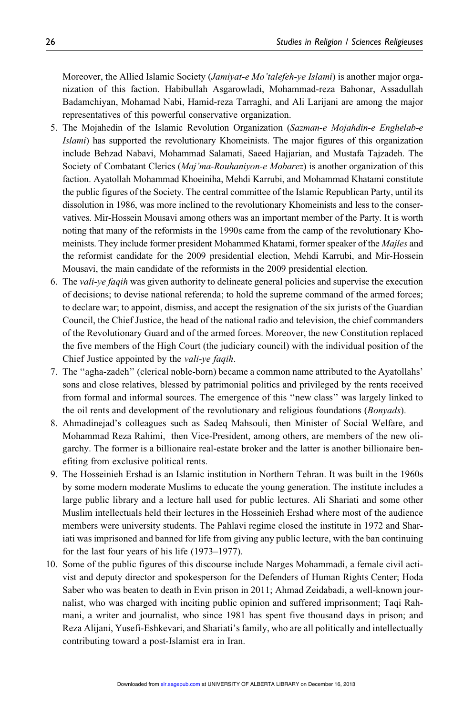Moreover, the Allied Islamic Society (*Jamiyat-e Mo'talefeh-ye Islami*) is another major organization of this faction. Habibullah Asgarowladi, Mohammad-reza Bahonar, Assadullah Badamchiyan, Mohamad Nabi, Hamid-reza Tarraghi, and Ali Larijani are among the major representatives of this powerful conservative organization.

- 5. The Mojahedin of the Islamic Revolution Organization (Sazman-e Mojahdin-e Enghelab-e Islami) has supported the revolutionary Khomeinists. The major figures of this organization include Behzad Nabavi, Mohammad Salamati, Saeed Hajjarian, and Mustafa Tajzadeh. The Society of Combatant Clerics (Maj'ma-Rouhaniyon-e Mobarez) is another organization of this faction. Ayatollah Mohammad Khoeiniha, Mehdi Karrubi, and Mohammad Khatami constitute the public figures of the Society. The central committee of the Islamic Republican Party, until its dissolution in 1986, was more inclined to the revolutionary Khomeinists and less to the conservatives. Mir-Hossein Mousavi among others was an important member of the Party. It is worth noting that many of the reformists in the 1990s came from the camp of the revolutionary Khomeinists. They include former president Mohammed Khatami, former speaker of the Majles and the reformist candidate for the 2009 presidential election, Mehdi Karrubi, and Mir-Hossein Mousavi, the main candidate of the reformists in the 2009 presidential election.
- 6. The *vali-ye faqih* was given authority to delineate general policies and supervise the execution of decisions; to devise national referenda; to hold the supreme command of the armed forces; to declare war; to appoint, dismiss, and accept the resignation of the six jurists of the Guardian Council, the Chief Justice, the head of the national radio and television, the chief commanders of the Revolutionary Guard and of the armed forces. Moreover, the new Constitution replaced the five members of the High Court (the judiciary council) with the individual position of the Chief Justice appointed by the vali-ye faqih.
- 7. The ''agha-zadeh'' (clerical noble-born) became a common name attributed to the Ayatollahs' sons and close relatives, blessed by patrimonial politics and privileged by the rents received from formal and informal sources. The emergence of this ''new class'' was largely linked to the oil rents and development of the revolutionary and religious foundations (*Bonyads*).
- 8. Ahmadinejad's colleagues such as Sadeq Mahsouli, then Minister of Social Welfare, and Mohammad Reza Rahimi, then Vice-President, among others, are members of the new oligarchy. The former is a billionaire real-estate broker and the latter is another billionaire benefiting from exclusive political rents.
- 9. The Hosseinieh Ershad is an Islamic institution in Northern Tehran. It was built in the 1960s by some modern moderate Muslims to educate the young generation. The institute includes a large public library and a lecture hall used for public lectures. Ali Shariati and some other Muslim intellectuals held their lectures in the Hosseinieh Ershad where most of the audience members were university students. The Pahlavi regime closed the institute in 1972 and Shariati was imprisoned and banned for life from giving any public lecture, with the ban continuing for the last four years of his life (1973–1977).
- 10. Some of the public figures of this discourse include Narges Mohammadi, a female civil activist and deputy director and spokesperson for the Defenders of Human Rights Center; Hoda Saber who was beaten to death in Evin prison in 2011; Ahmad Zeidabadi, a well-known journalist, who was charged with inciting public opinion and suffered imprisonment; Taqi Rahmani, a writer and journalist, who since 1981 has spent five thousand days in prison; and Reza Alijani, Yusefi-Eshkevari, and Shariati's family, who are all politically and intellectually contributing toward a post-Islamist era in Ir[an.](http://sir.sagepub.com/)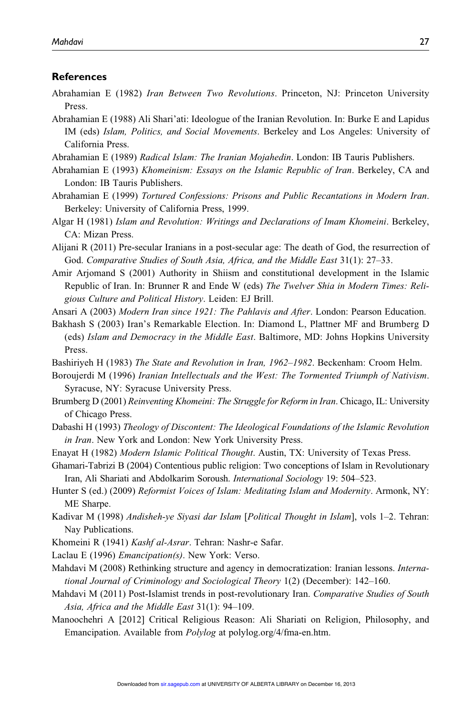#### **References**

- Abrahamian E (1982) Iran Between Two Revolutions. Princeton, NJ: Princeton University Press.
- Abrahamian E (1988) Ali Shari'ati: Ideologue of the Iranian Revolution. In: Burke E and Lapidus IM (eds) Islam, Politics, and Social Movements. Berkeley and Los Angeles: University of California Press.
- Abrahamian E (1989) Radical Islam: The Iranian Mojahedin. London: IB Tauris Publishers.
- Abrahamian E (1993) Khomeinism: Essays on the Islamic Republic of Iran. Berkeley, CA and London: IB Tauris Publishers.
- Abrahamian E (1999) Tortured Confessions: Prisons and Public Recantations in Modern Iran. Berkeley: University of California Press, 1999.
- Algar H (1981) Islam and Revolution: Writings and Declarations of Imam Khomeini. Berkeley, CA: Mizan Press.
- Alijani R (2011) Pre-secular Iranians in a post-secular age: The death of God, the resurrection of God. Comparative Studies of South Asia, Africa, and the Middle East 31(1): 27–33.
- Amir Arjomand S (2001) Authority in Shiism and constitutional development in the Islamic Republic of Iran. In: Brunner R and Ende W (eds) The Twelver Shia in Modern Times: Religious Culture and Political History. Leiden: EJ Brill.
- Ansari A (2003) Modern Iran since 1921: The Pahlavis and After. London: Pearson Education.
- Bakhash S (2003) Iran's Remarkable Election. In: Diamond L, Plattner MF and Brumberg D (eds) Islam and Democracy in the Middle East. Baltimore, MD: Johns Hopkins University Press.
- Bashiriyeh H (1983) The State and Revolution in Iran, 1962–1982. Beckenham: Croom Helm.
- Boroujerdi M (1996) Iranian Intellectuals and the West: The Tormented Triumph of Nativism. Syracuse, NY: Syracuse University Press.
- Brumberg D (2001) Reinventing Khomeini: The Struggle for Reform in Iran. Chicago, IL: University of Chicago Press.
- Dabashi H (1993) Theology of Discontent: The Ideological Foundations of the Islamic Revolution in Iran. New York and London: New York University Press.
- Enayat H (1982) Modern Islamic Political Thought. Austin, TX: University of Texas Press.
- Ghamari-Tabrizi B (2004) Contentious public religion: Two conceptions of Islam in Revolutionary Iran, Ali Shariati and Abdolkarim Soroush. International Sociology 19: 504–523.
- Hunter S (ed.) (2009) Reformist Voices of Islam: Meditating Islam and Modernity. Armonk, NY: ME Sharpe.
- Kadivar M (1998) Andisheh-ye Siyasi dar Islam [Political Thought in Islam], vols 1–2. Tehran: Nay Publications.
- Khomeini R (1941) Kashf al-Asrar. Tehran: Nashr-e Safar.
- Laclau E (1996) Emancipation(s). New York: Verso.
- Mahdavi M (2008) Rethinking structure and agency in democratization: Iranian lessons. *Interna*tional Journal of Criminology and Sociological Theory 1(2) (December): 142–160.
- Mahdavi M (2011) Post-Islamist trends in post-revolutionary Iran. Comparative Studies of South Asia, Africa and the Middle East 31(1): 94–109.
- Manoochehri A [2012] Critical Religious Reason: Ali Shariati on Religion, Philosophy, and Emancipation. Available from Polylog at [polylog.org/4/fma-en.htm.](http://www.polylog.org/4/fma-en.htm)